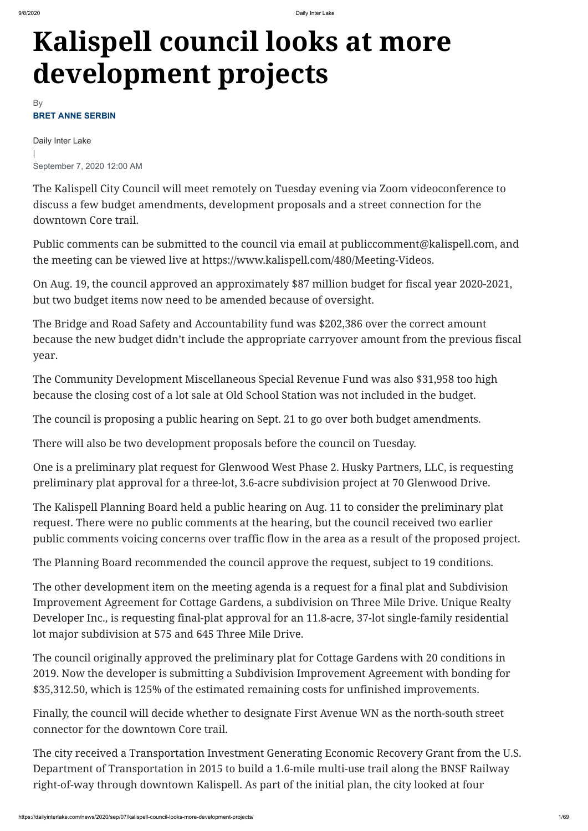## **Kalispell council looks at more development projects**

Daily Inter Lake | September 7, 2020 12:00 AM

The Kalispell City Council will meet remotely on Tuesday evening via Zoom videoconference to discuss a few budget amendments, development proposals and a street connection for the downtown Core trail.

Public comments can be submitted to the council via email at publiccomment@kalispell.com, and the meeting can be viewed live at https://www.kalispell.com/480/Meeting-Videos.

On Aug. 19, the council approved an approximately \$87 million budget for fiscal year 2020-2021, but two budget items now need to be amended because of oversight.

The Bridge and Road Safety and Accountability fund was \$202,386 over the correct amount because the new budget didn't include the appropriate carryover amount from the previous fiscal year.

The Community Development Miscellaneous Special Revenue Fund was also \$31,958 too high because the closing cost of a lot sale at Old School Station was not included in the budget.

The council is proposing a public hearing on Sept. 21 to go over both budget amendments.

There will also be two development proposals before the council on Tuesday.

One is a preliminary plat request for Glenwood West Phase 2. Husky Partners, LLC, is requesting preliminary plat approval for a three-lot, 3.6-acre subdivision project at 70 Glenwood Drive.

## **BRET ANNE SERBIN** By

The Kalispell Planning Board held a public hearing on Aug. 11 to consider the preliminary plat request. There were no public comments at the hearing, but the council received two earlier public comments voicing concerns over traffic flow in the area as a result of the proposed project.

The Planning Board recommended the council approve the request, subject to 19 conditions.

The other development item on the meeting agenda is a request for a final plat and Subdivision Improvement Agreement for Cottage Gardens, a subdivision on Three Mile Drive. Unique Realty Developer Inc., is requesting final-plat approval for an 11.8-acre, 37-lot single-family residential

## lot major subdivision at 575 and 645 Three Mile Drive.

The council originally approved the preliminary plat for Cottage Gardens with 20 conditions in 2019. Now the developer is submitting a Subdivision Improvement Agreement with bonding for \$35,312.50, which is 125% of the estimated remaining costs for unfinished improvements.

Finally, the council will decide whether to designate First Avenue WN as the north-south street connector for the downtown Core trail.

The city received a Transportation Investment Generating Economic Recovery Grant from the U.S. Department of Transportation in 2015 to build a 1.6-mile multi-use trail along the BNSF Railway right-of-way through downtown Kalispell. As part of the initial plan, the city looked at four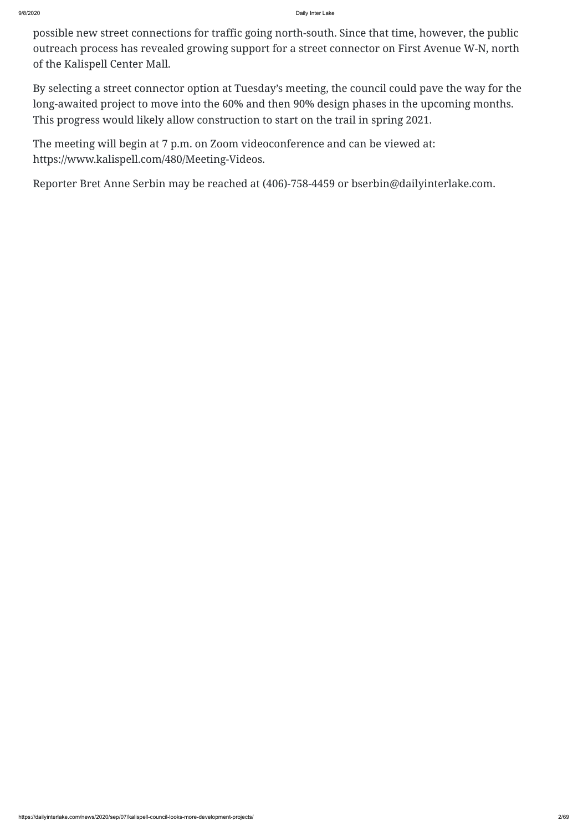## 9/8/2020 Daily Inter Lake

https://dailyinterlake.com/news/2020/sep/07/kalispell-council-looks-more-development-projects/ 2/69

possible new street connections for traffic going north-south. Since that time, however, the public outreach process has revealed growing support for a street connector on First Avenue W-N, north of the Kalispell Center Mall.

By selecting a street connector option at Tuesday's meeting, the council could pave the way for the long-awaited project to move into the 60% and then 90% design phases in the upcoming months. This progress would likely allow construction to start on the trail in spring 2021.

The meeting will begin at 7 p.m. on Zoom videoconference and can be viewed at: https://www.kalispell.com/480/Meeting-Videos.

Reporter Bret Anne Serbin may be reached at (406)-758-4459 or bserbin@dailyinterlake.com.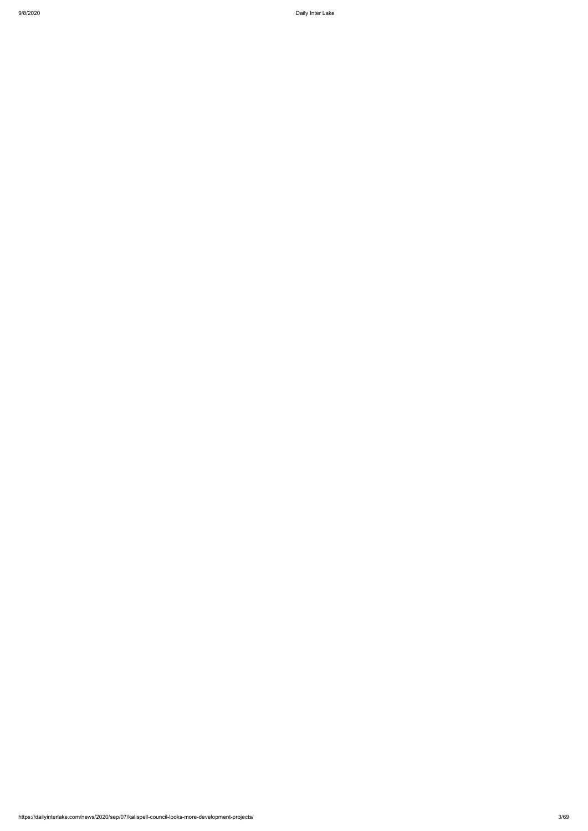https://dailyinterlake.com/news/2020/sep/07/kalispell-council-looks-more-development-projects/ 3/69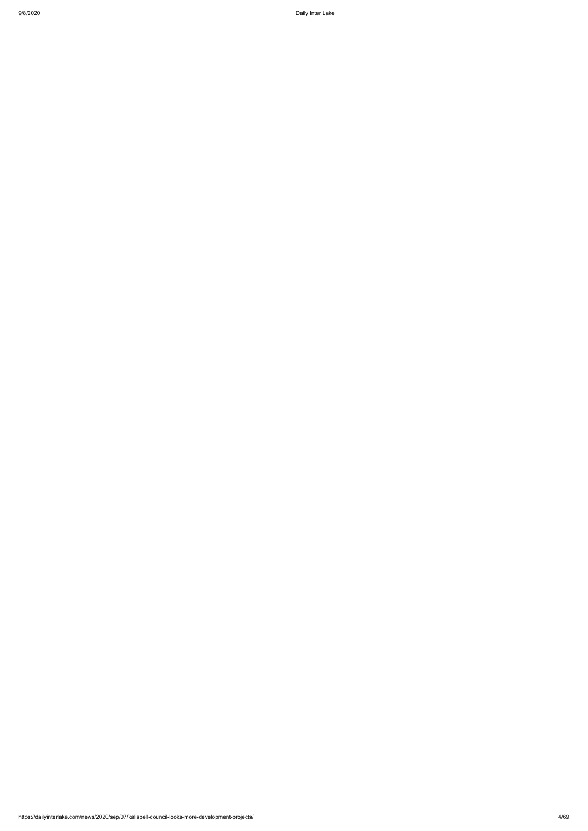https://dailyinterlake.com/news/2020/sep/07/kalispell-council-looks-more-development-projects/ 4/69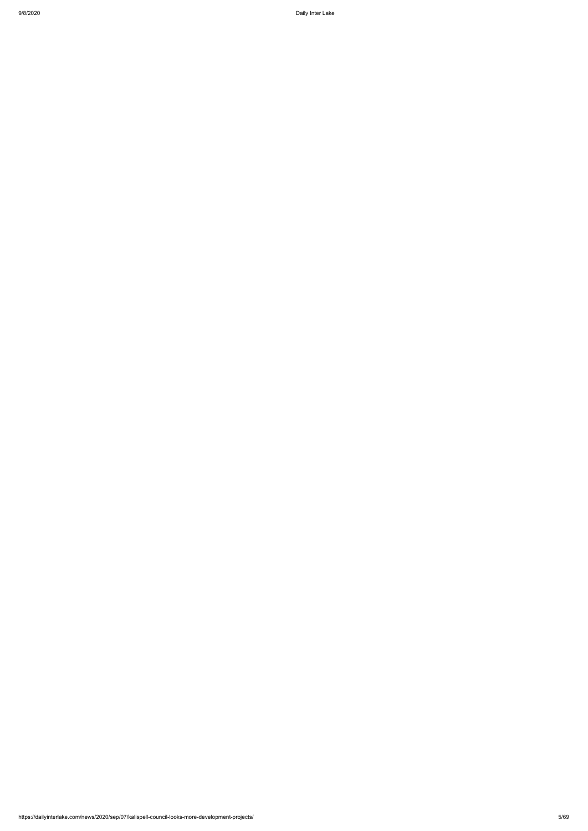https://dailyinterlake.com/news/2020/sep/07/kalispell-council-looks-more-development-projects/ 5/69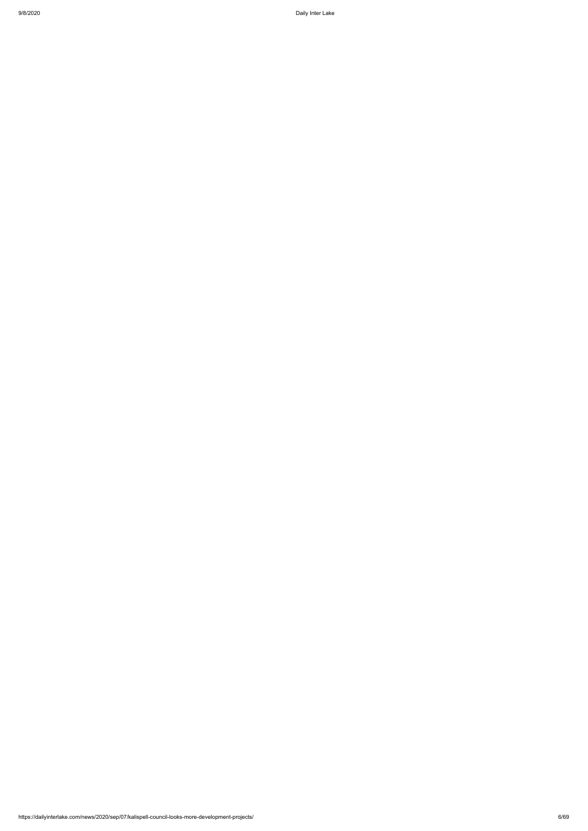https://dailyinterlake.com/news/2020/sep/07/kalispell-council-looks-more-development-projects/ 6/69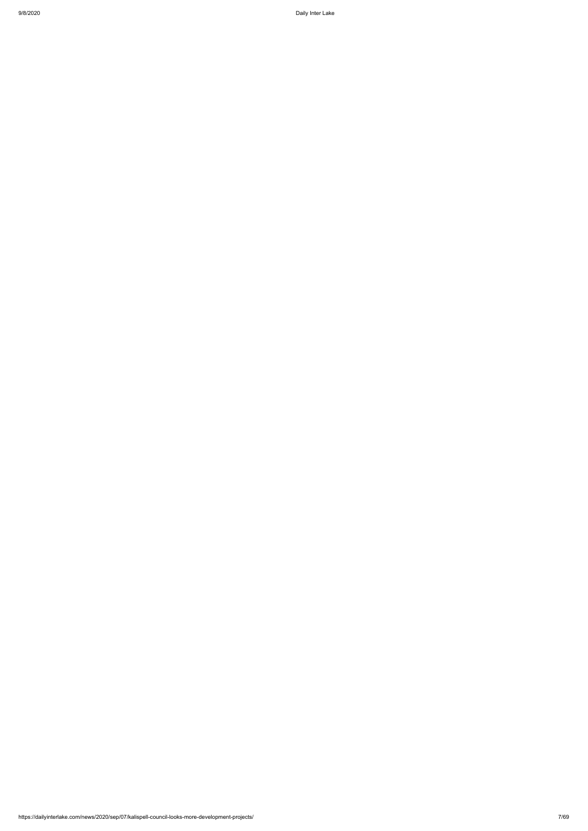https://dailyinterlake.com/news/2020/sep/07/kalispell-council-looks-more-development-projects/ 7/69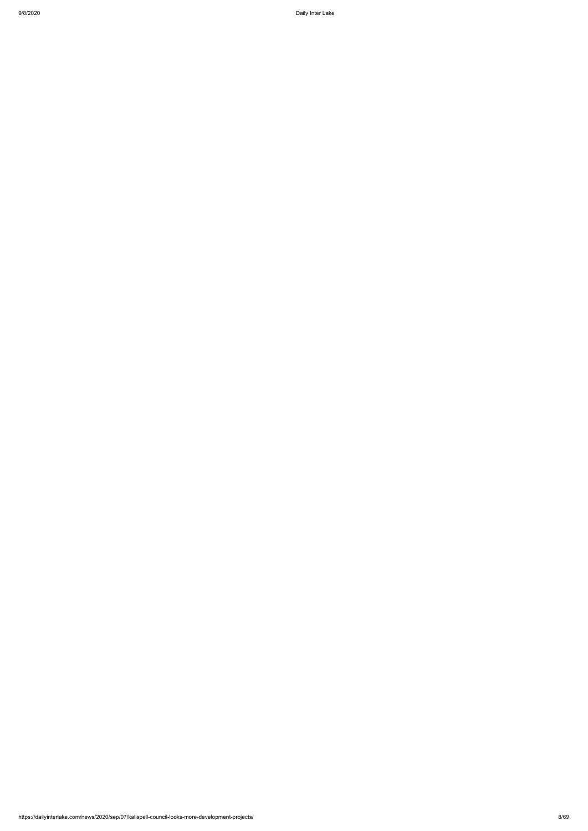https://dailyinterlake.com/news/2020/sep/07/kalispell-council-looks-more-development-projects/ 8/69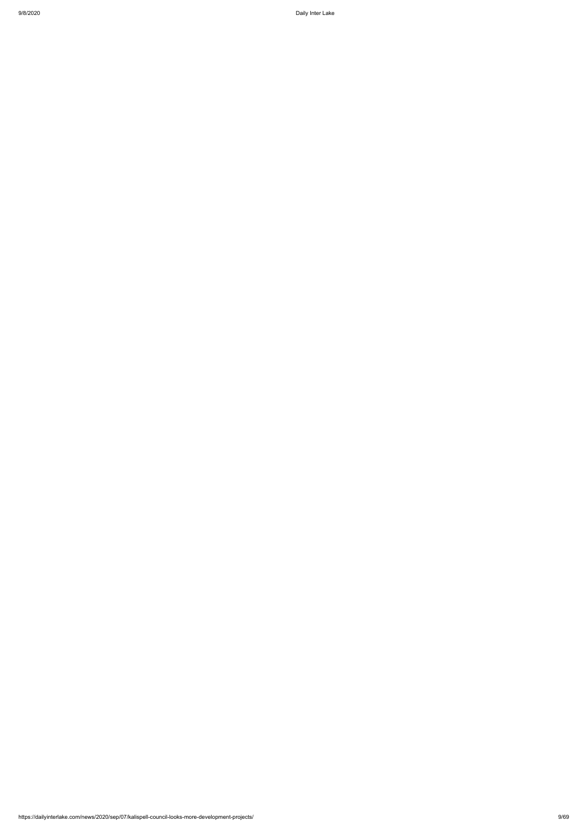https://dailyinterlake.com/news/2020/sep/07/kalispell-council-looks-more-development-projects/ 9/69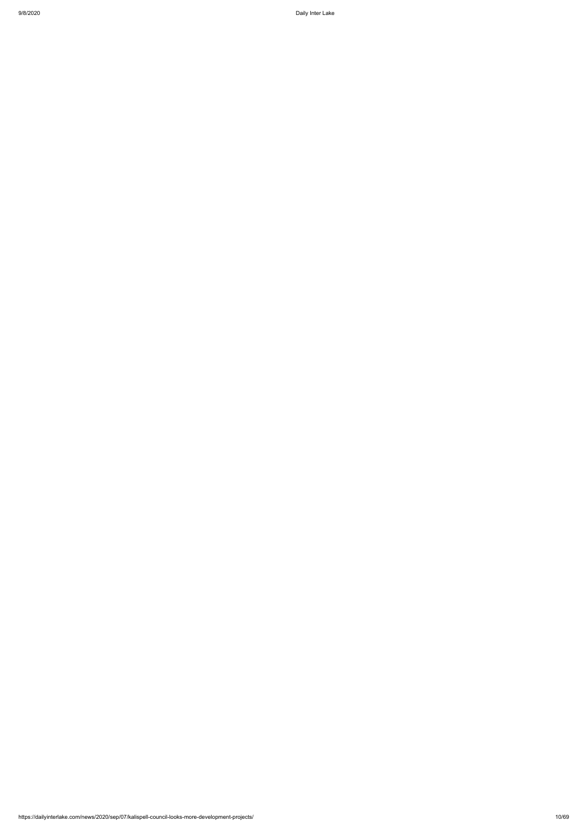https://dailyinterlake.com/news/2020/sep/07/kalispell-council-looks-more-development-projects/ 10/69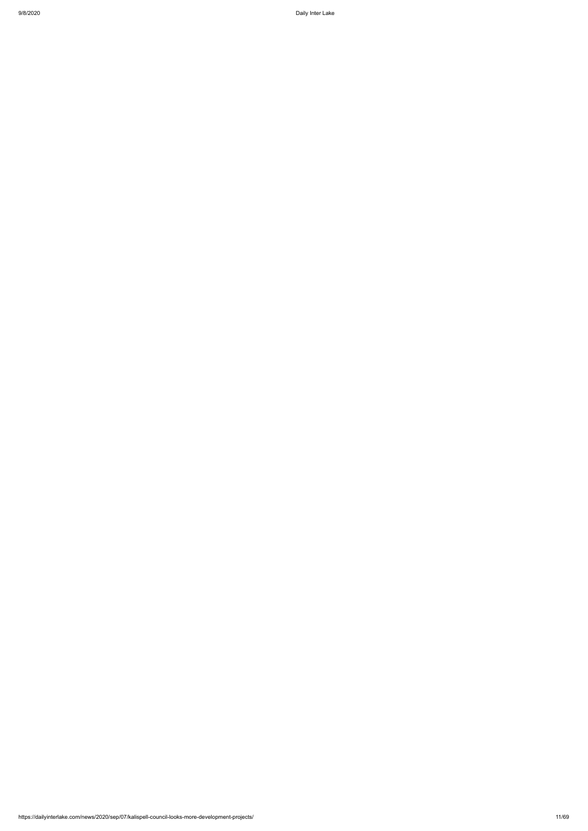https://dailyinterlake.com/news/2020/sep/07/kalispell-council-looks-more-development-projects/ 11/69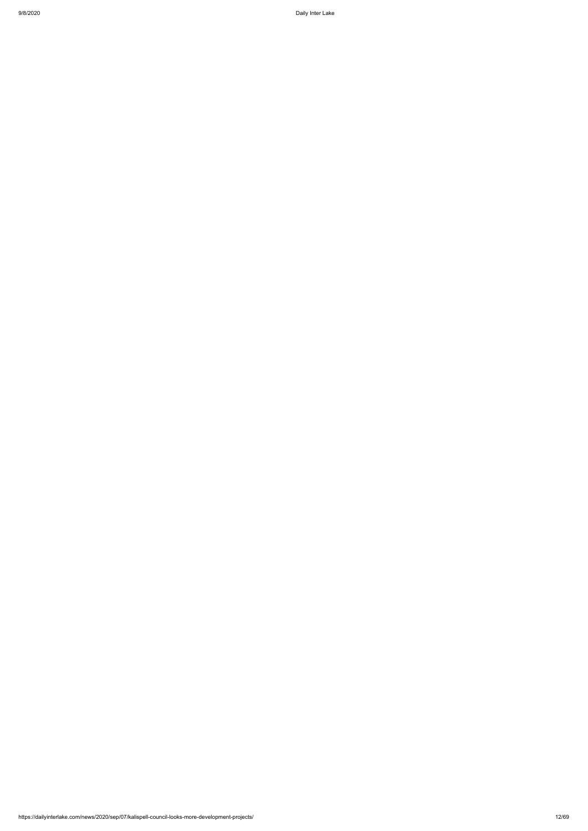https://dailyinterlake.com/news/2020/sep/07/kalispell-council-looks-more-development-projects/ 12/69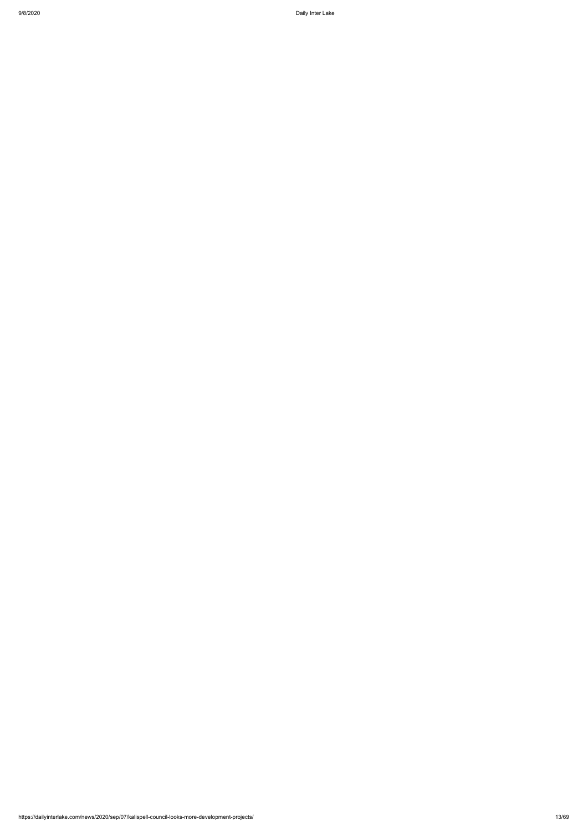https://dailyinterlake.com/news/2020/sep/07/kalispell-council-looks-more-development-projects/ 13/69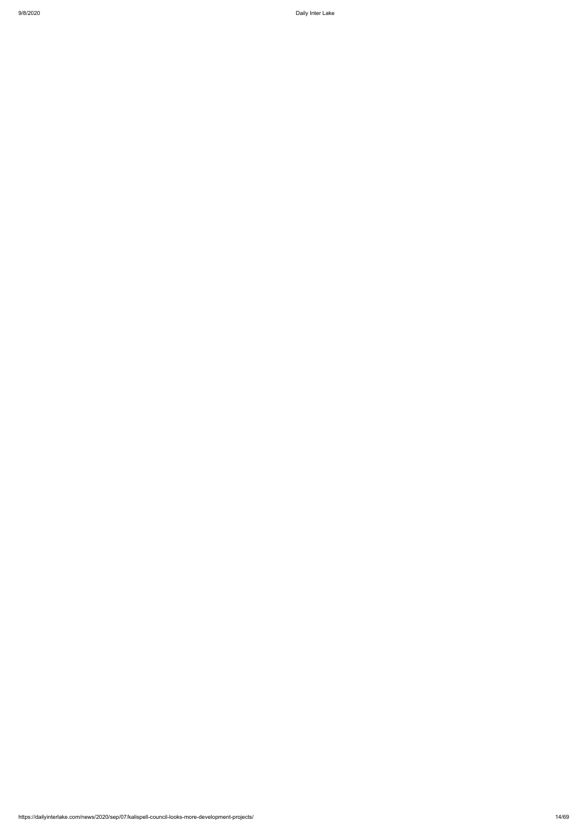https://dailyinterlake.com/news/2020/sep/07/kalispell-council-looks-more-development-projects/ 14/69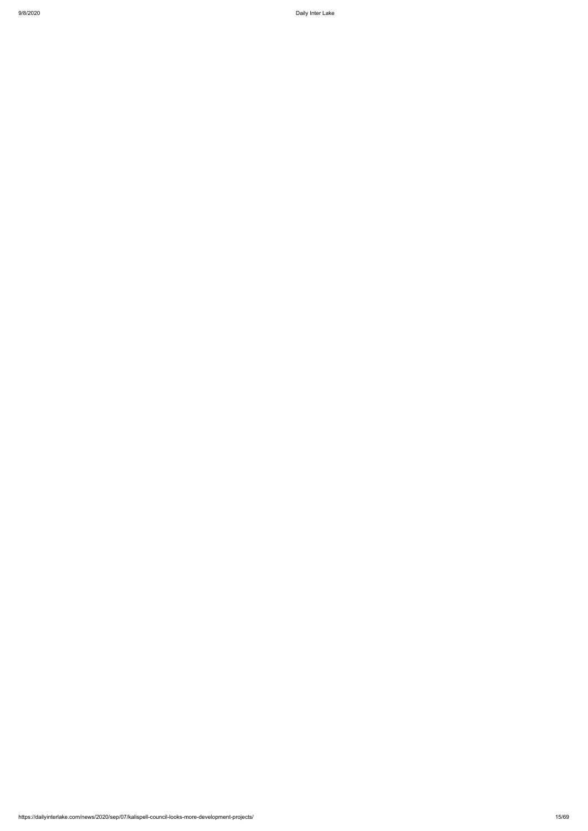https://dailyinterlake.com/news/2020/sep/07/kalispell-council-looks-more-development-projects/ 15/69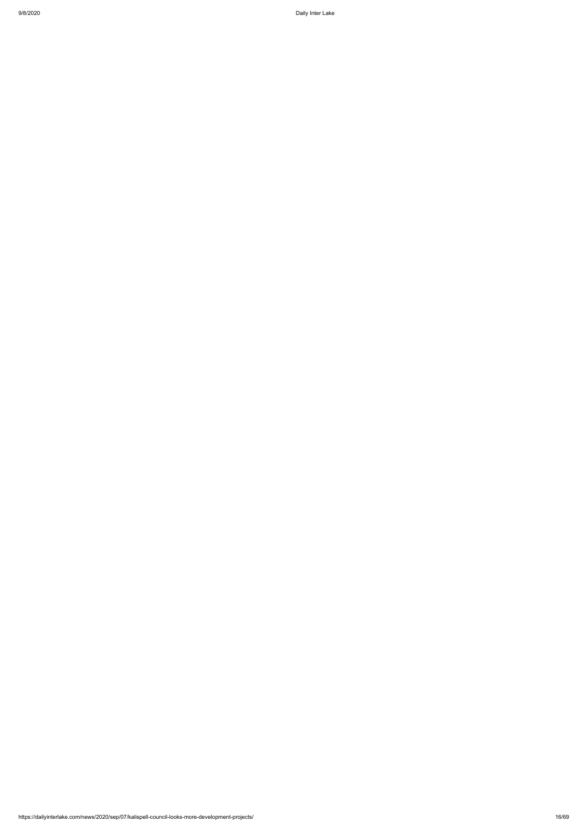https://dailyinterlake.com/news/2020/sep/07/kalispell-council-looks-more-development-projects/ 16/69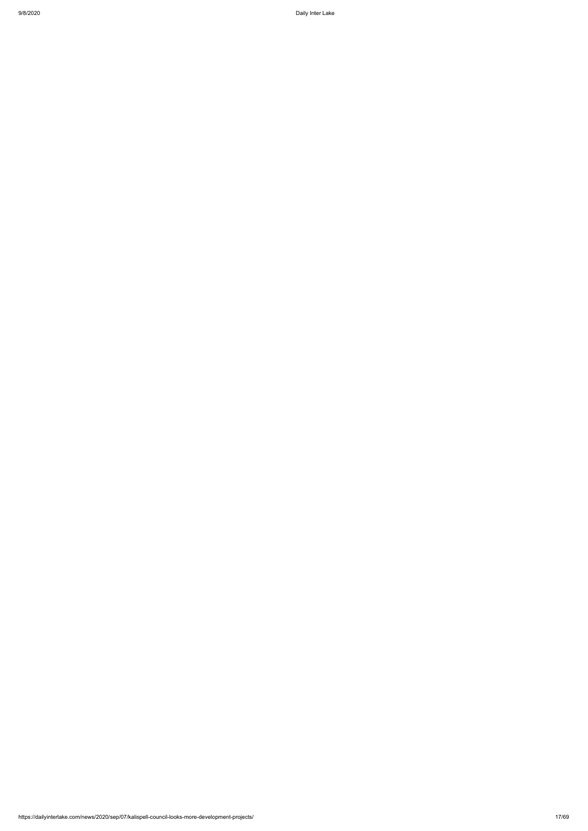https://dailyinterlake.com/news/2020/sep/07/kalispell-council-looks-more-development-projects/ 17/69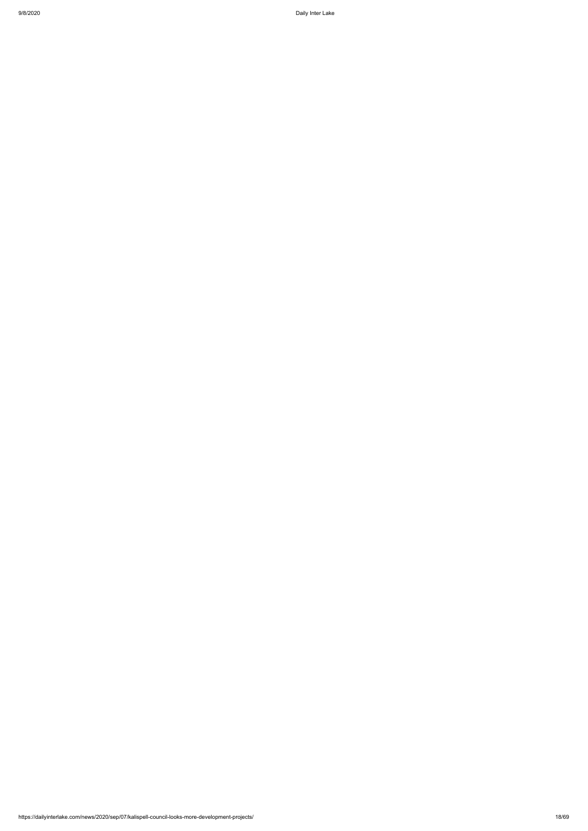https://dailyinterlake.com/news/2020/sep/07/kalispell-council-looks-more-development-projects/ 18/69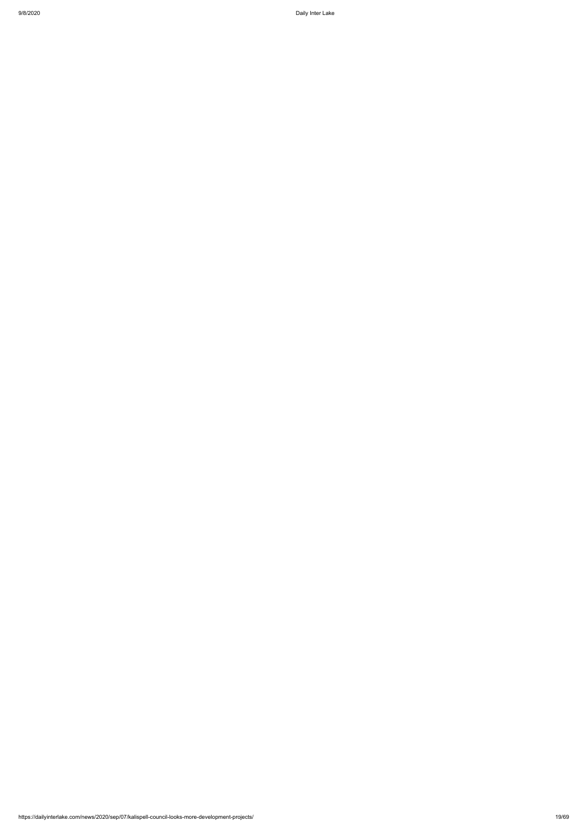https://dailyinterlake.com/news/2020/sep/07/kalispell-council-looks-more-development-projects/ 19/69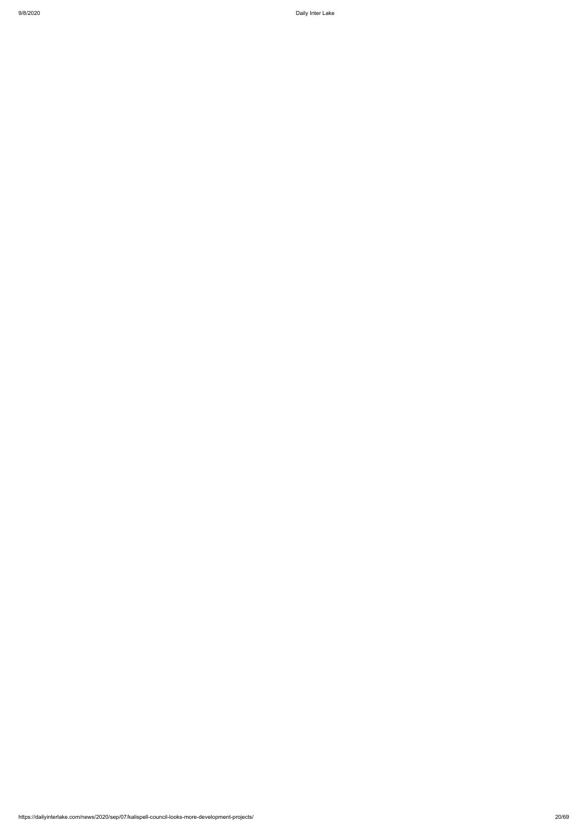https://dailyinterlake.com/news/2020/sep/07/kalispell-council-looks-more-development-projects/ 20/69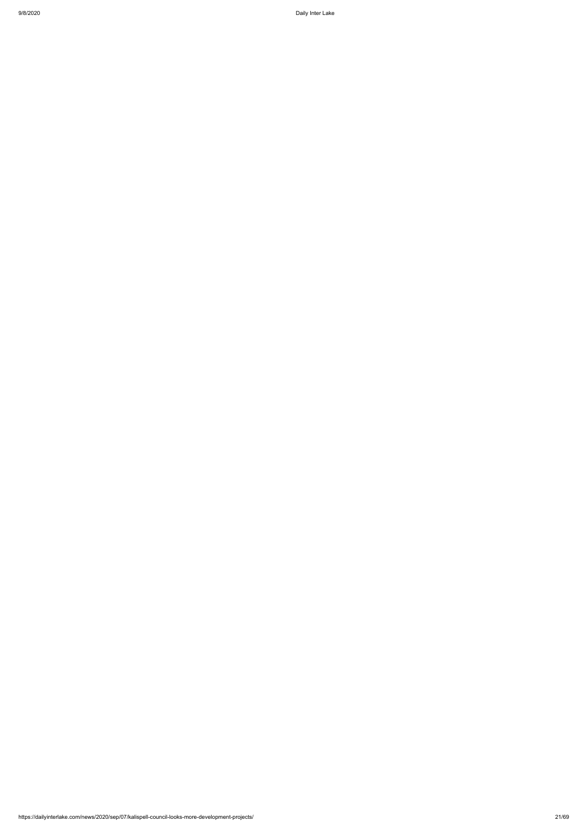https://dailyinterlake.com/news/2020/sep/07/kalispell-council-looks-more-development-projects/ 21/69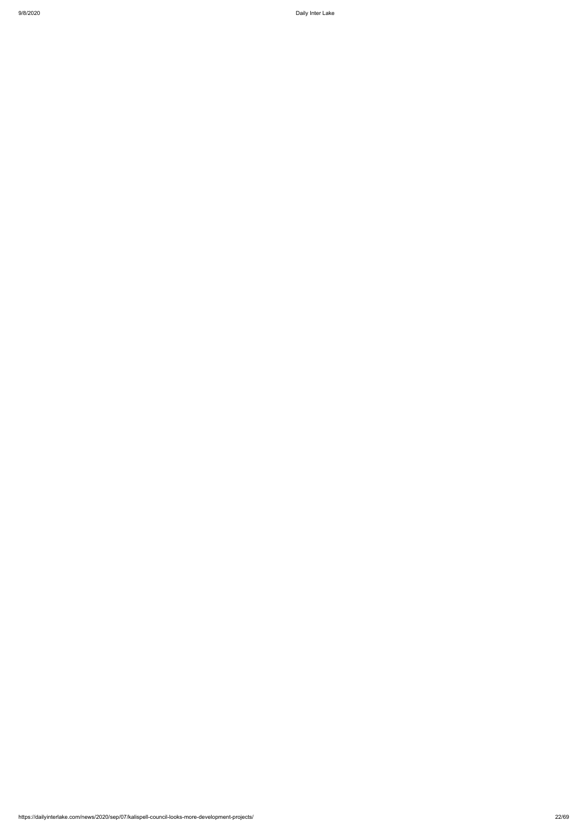https://dailyinterlake.com/news/2020/sep/07/kalispell-council-looks-more-development-projects/ 22/69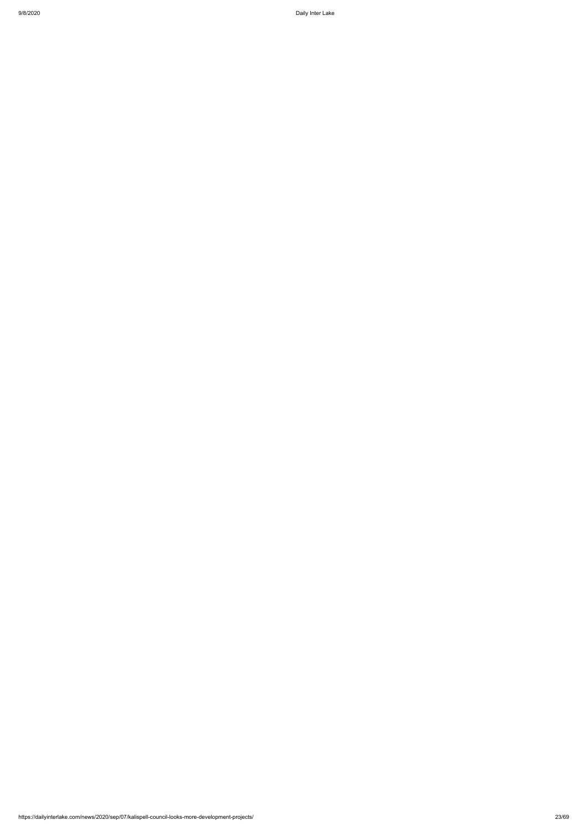https://dailyinterlake.com/news/2020/sep/07/kalispell-council-looks-more-development-projects/ 23/69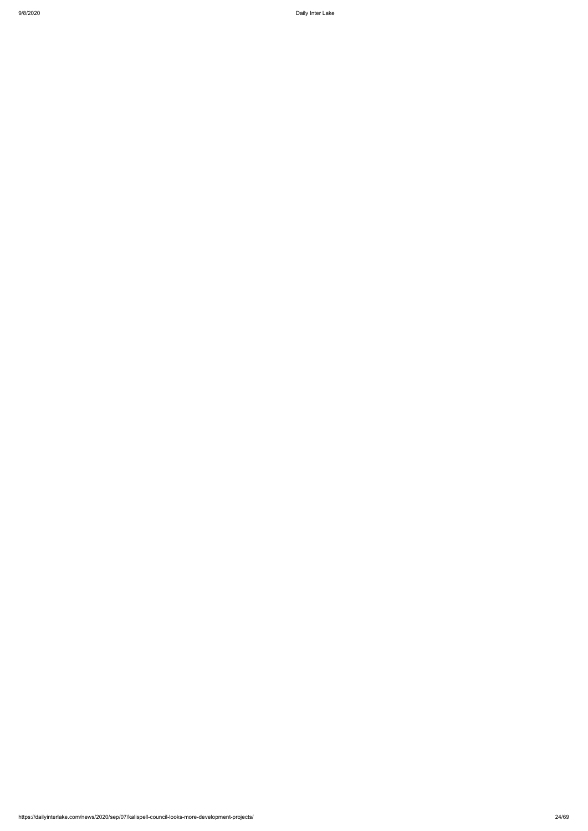https://dailyinterlake.com/news/2020/sep/07/kalispell-council-looks-more-development-projects/ 24/69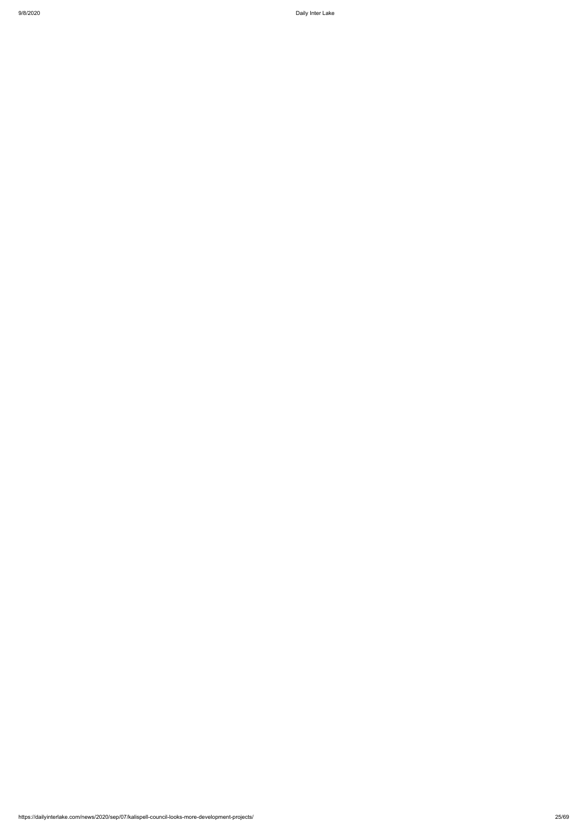https://dailyinterlake.com/news/2020/sep/07/kalispell-council-looks-more-development-projects/ 25/69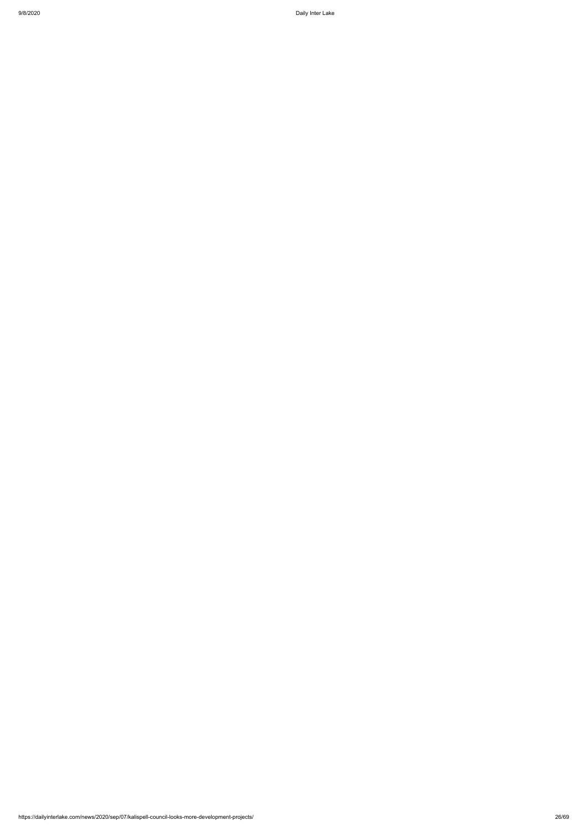https://dailyinterlake.com/news/2020/sep/07/kalispell-council-looks-more-development-projects/ 26/69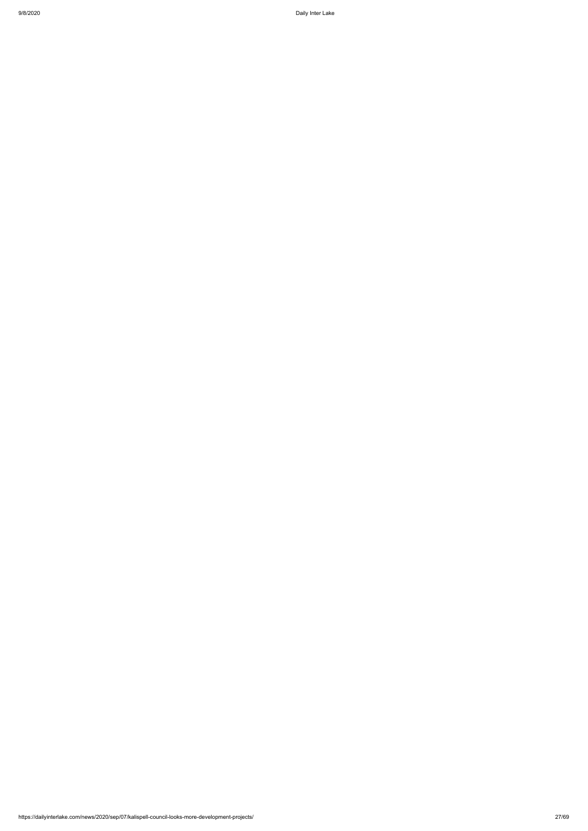https://dailyinterlake.com/news/2020/sep/07/kalispell-council-looks-more-development-projects/ 27/69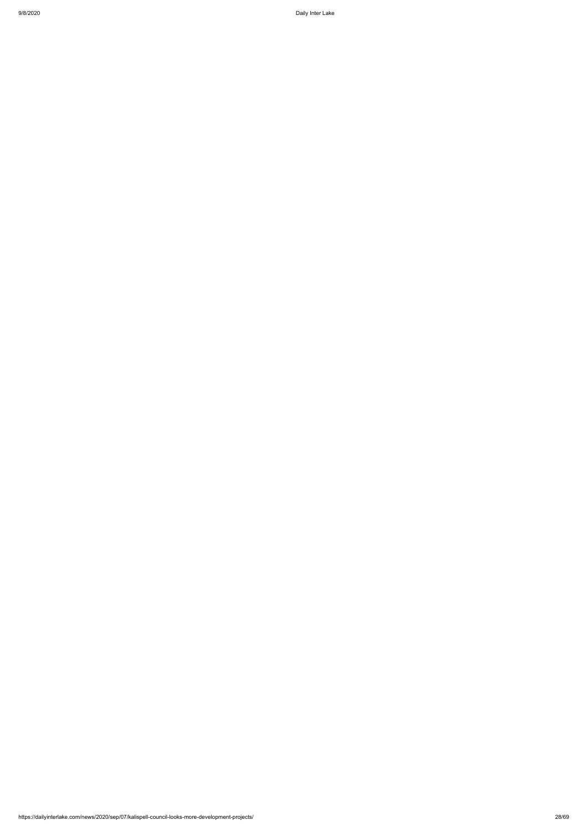https://dailyinterlake.com/news/2020/sep/07/kalispell-council-looks-more-development-projects/ 28/69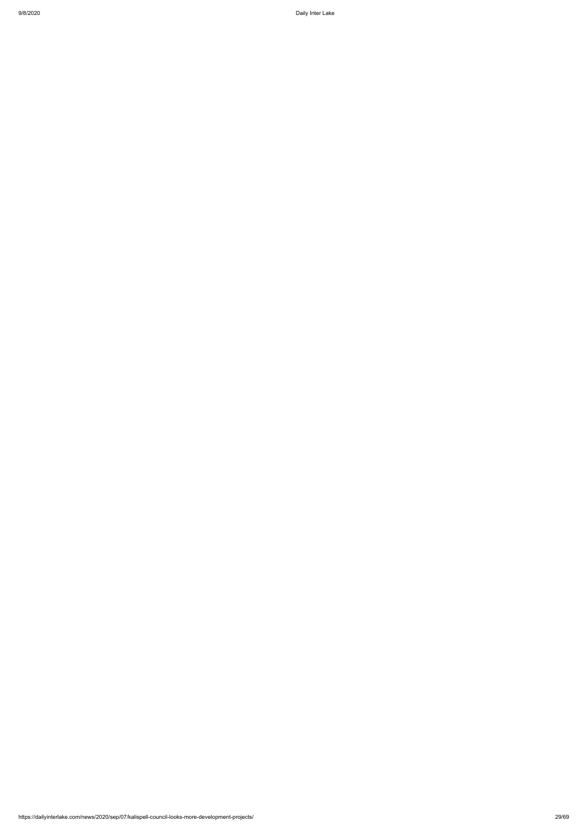https://dailyinterlake.com/news/2020/sep/07/kalispell-council-looks-more-development-projects/ 29/69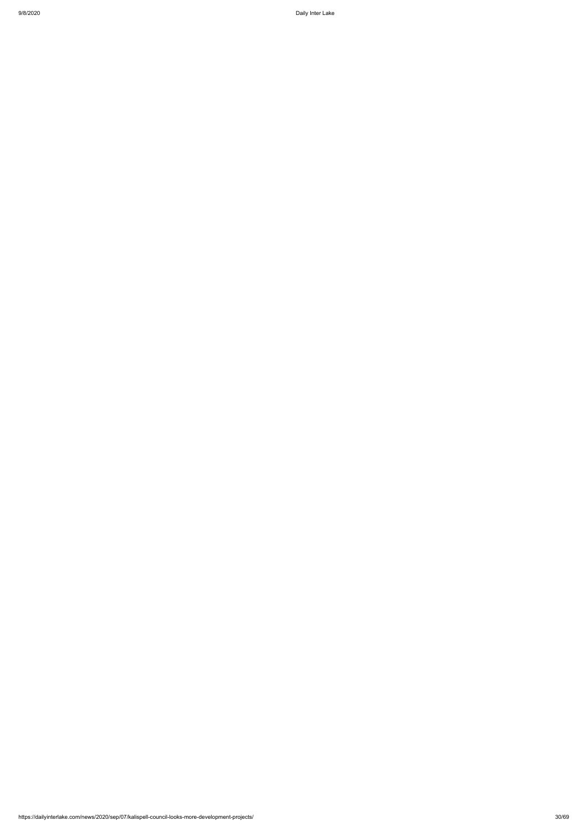https://dailyinterlake.com/news/2020/sep/07/kalispell-council-looks-more-development-projects/ 30/69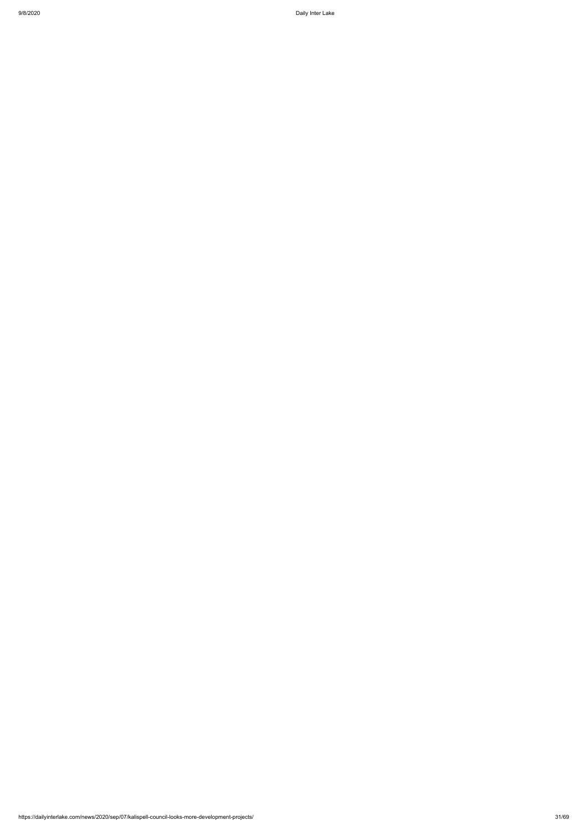https://dailyinterlake.com/news/2020/sep/07/kalispell-council-looks-more-development-projects/ 31/69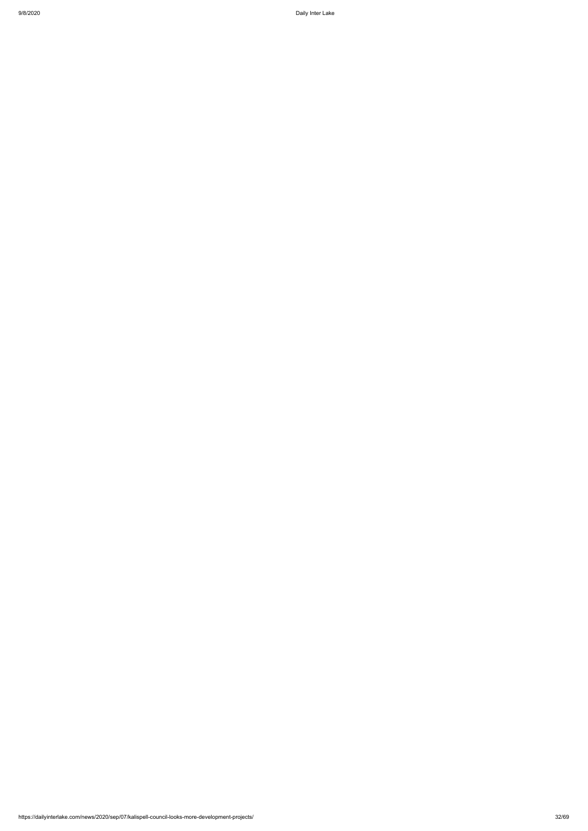https://dailyinterlake.com/news/2020/sep/07/kalispell-council-looks-more-development-projects/ 32/69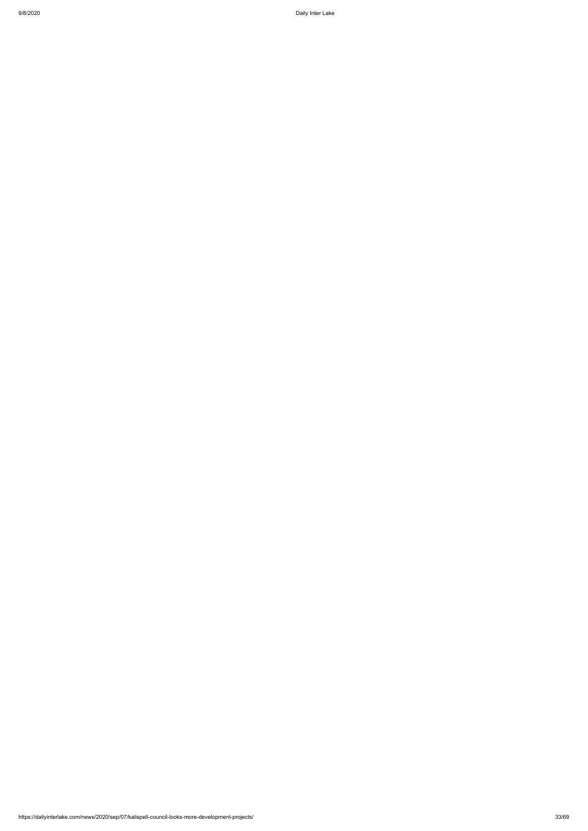https://dailyinterlake.com/news/2020/sep/07/kalispell-council-looks-more-development-projects/ 33/69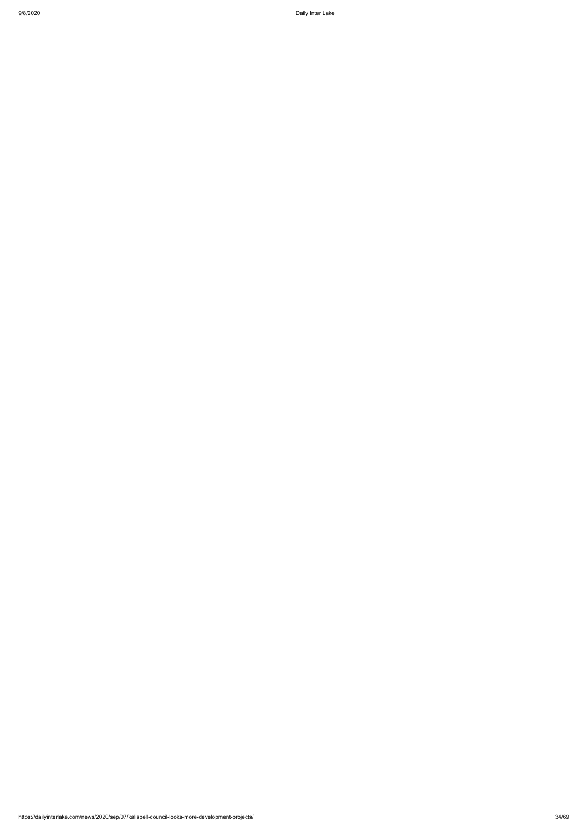https://dailyinterlake.com/news/2020/sep/07/kalispell-council-looks-more-development-projects/ 34/69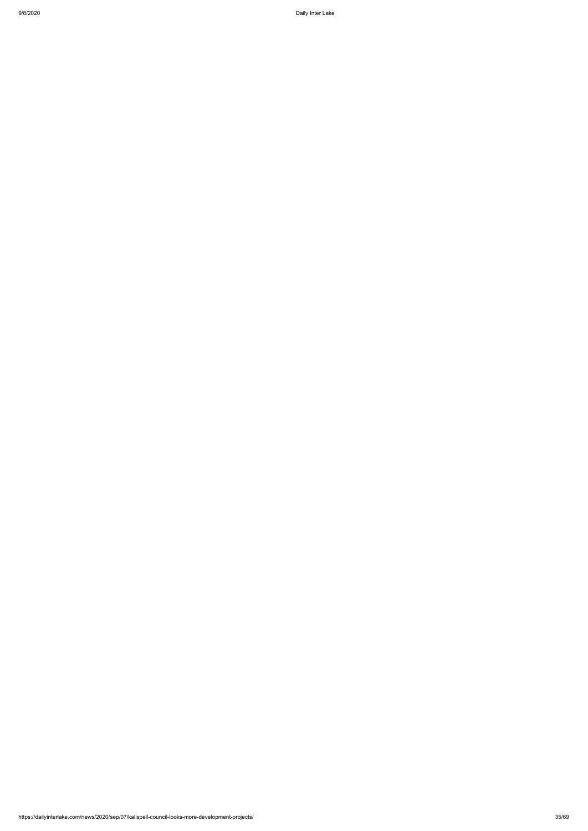https://dailyinterlake.com/news/2020/sep/07/kalispell-council-looks-more-development-projects/ 35/69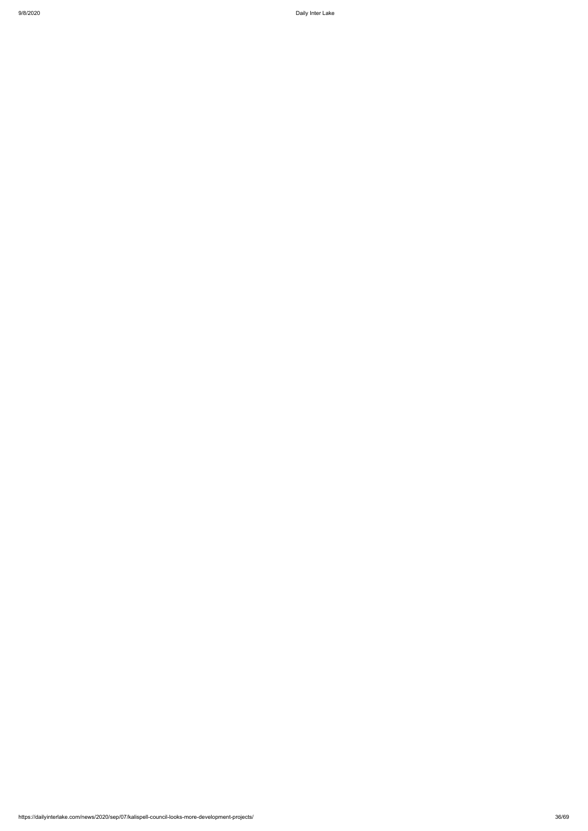https://dailyinterlake.com/news/2020/sep/07/kalispell-council-looks-more-development-projects/ 36/69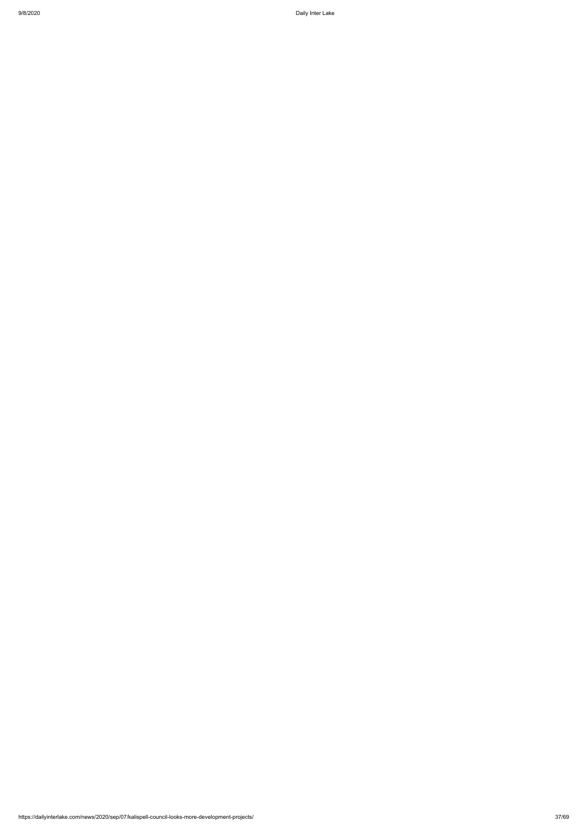https://dailyinterlake.com/news/2020/sep/07/kalispell-council-looks-more-development-projects/ 37/69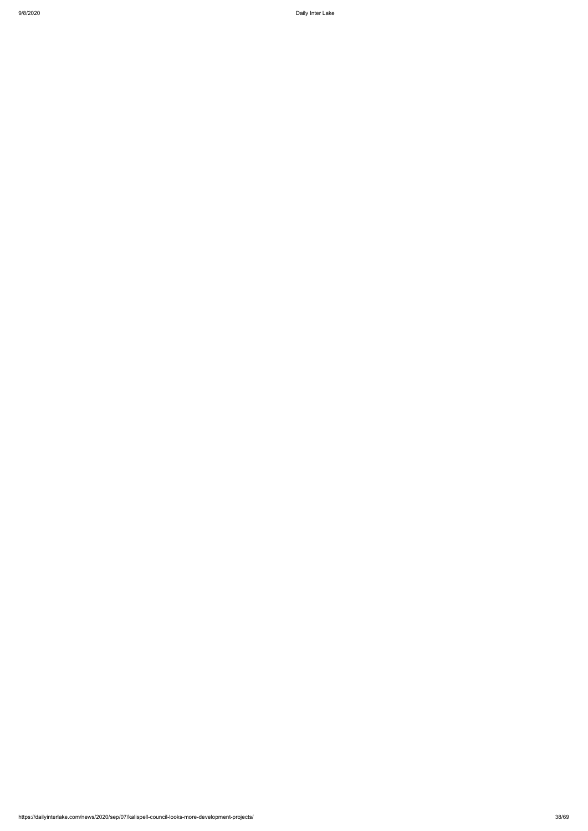https://dailyinterlake.com/news/2020/sep/07/kalispell-council-looks-more-development-projects/ 38/69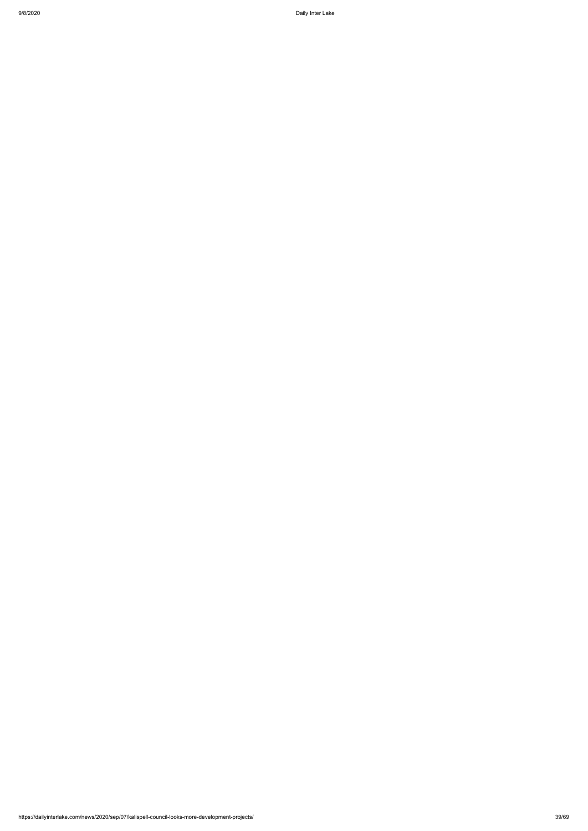https://dailyinterlake.com/news/2020/sep/07/kalispell-council-looks-more-development-projects/ 39/69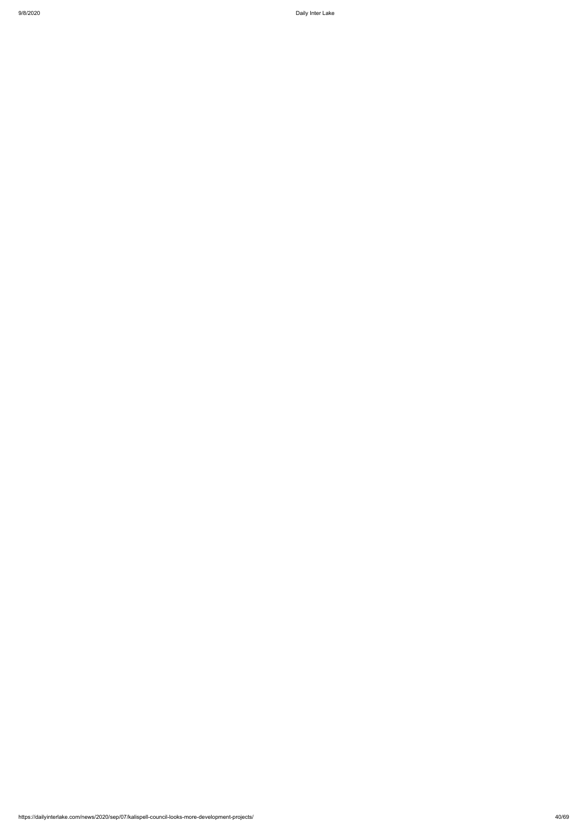https://dailyinterlake.com/news/2020/sep/07/kalispell-council-looks-more-development-projects/ 40/69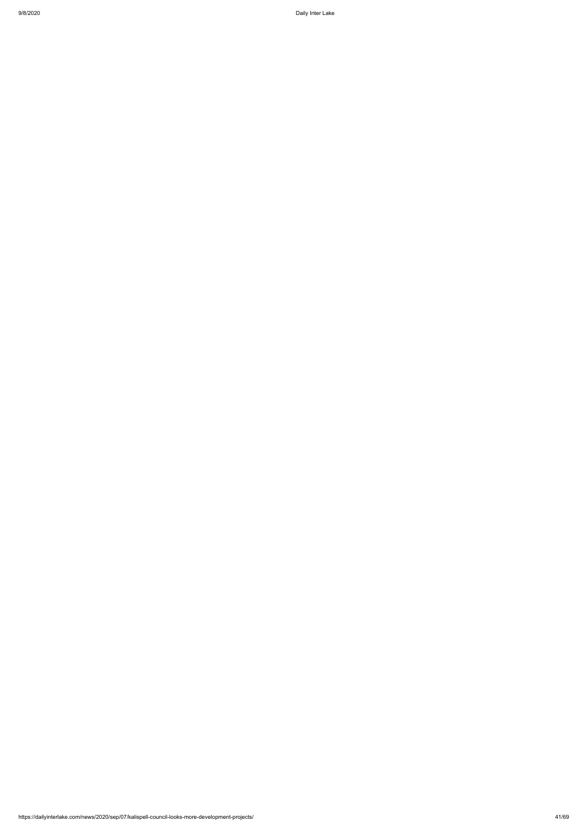https://dailyinterlake.com/news/2020/sep/07/kalispell-council-looks-more-development-projects/ 41/69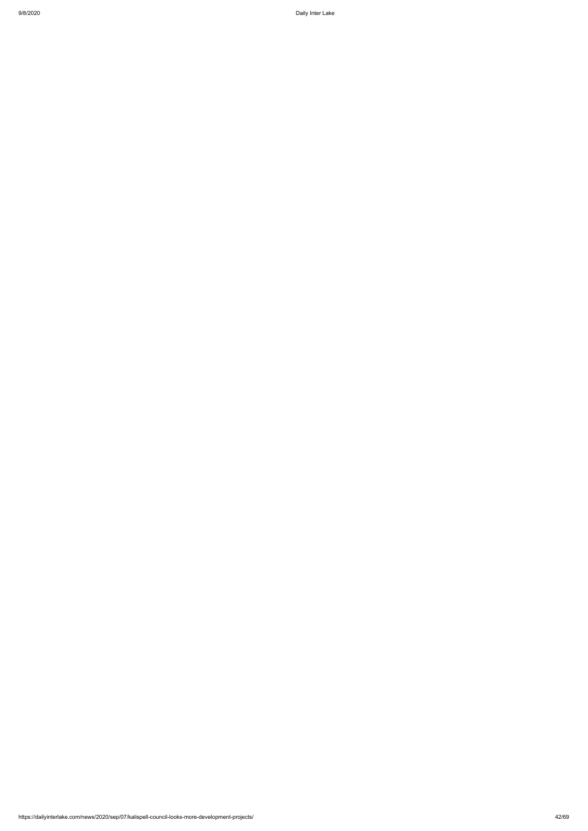https://dailyinterlake.com/news/2020/sep/07/kalispell-council-looks-more-development-projects/ 42/69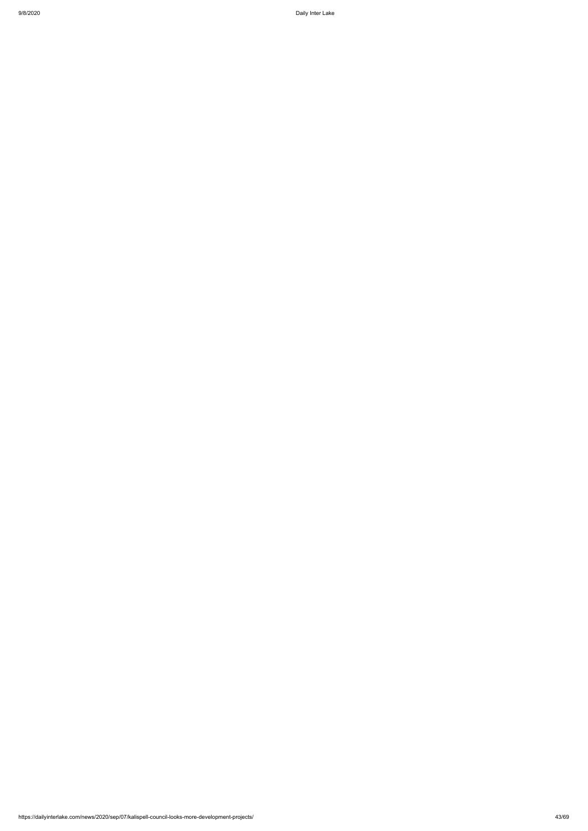https://dailyinterlake.com/news/2020/sep/07/kalispell-council-looks-more-development-projects/ 43/69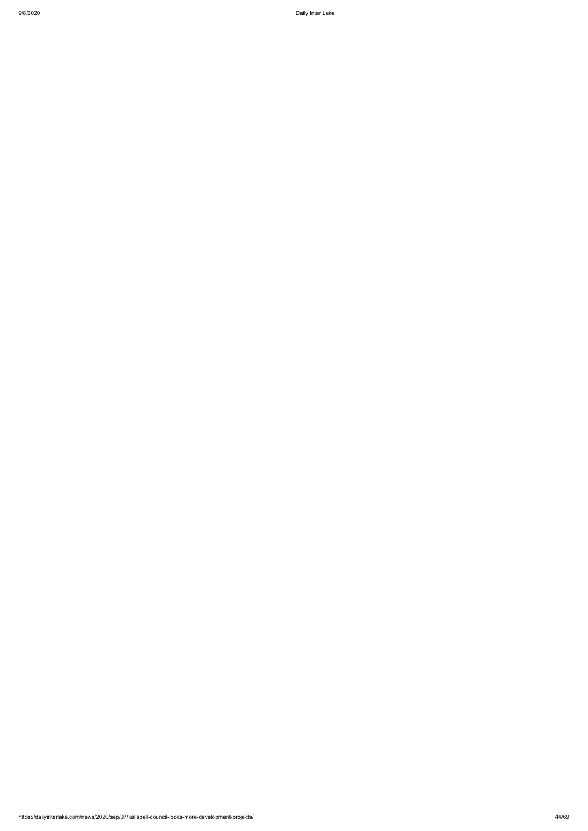https://dailyinterlake.com/news/2020/sep/07/kalispell-council-looks-more-development-projects/ 44/69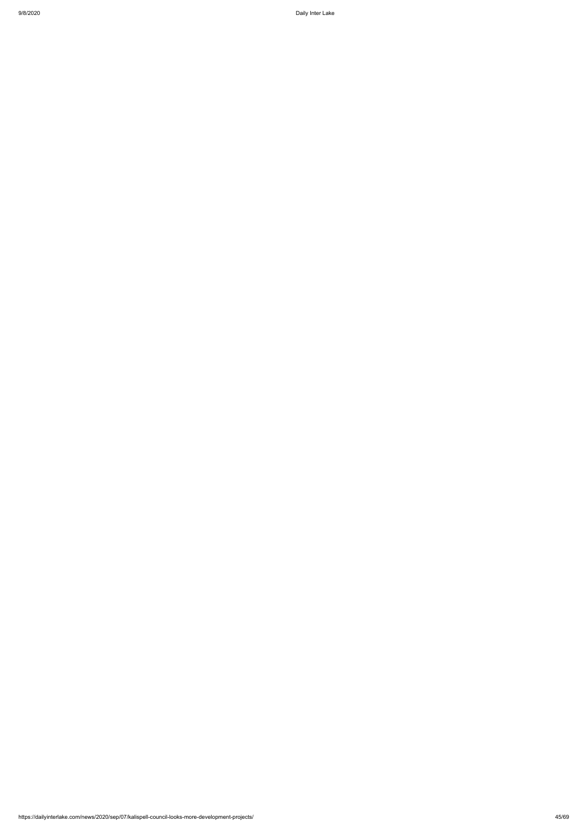https://dailyinterlake.com/news/2020/sep/07/kalispell-council-looks-more-development-projects/ 45/69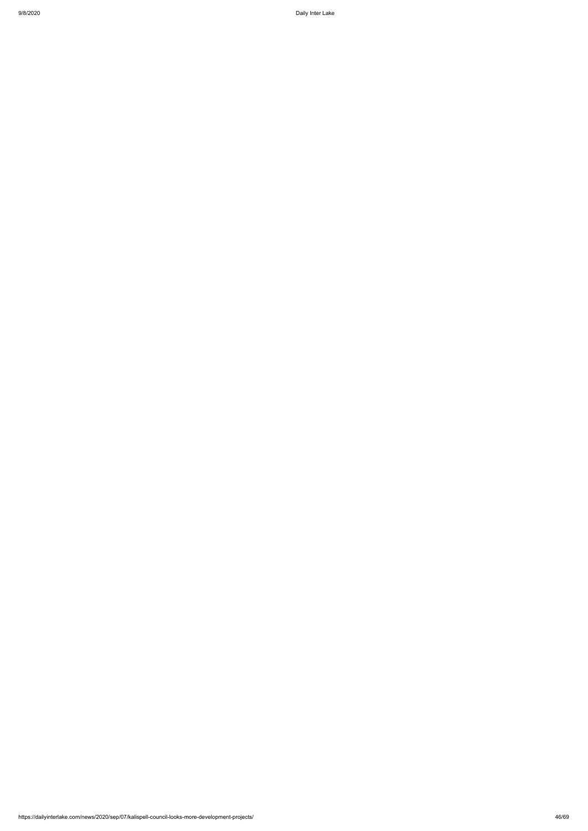https://dailyinterlake.com/news/2020/sep/07/kalispell-council-looks-more-development-projects/ 46/69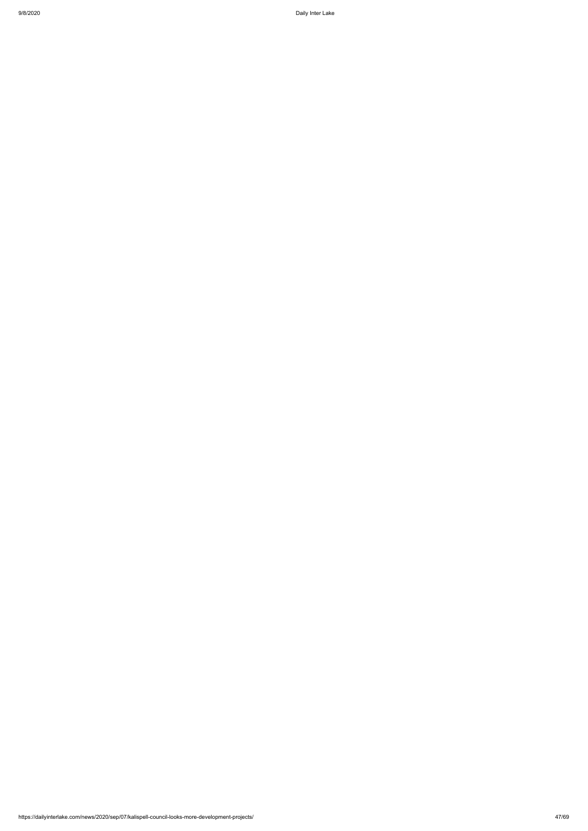https://dailyinterlake.com/news/2020/sep/07/kalispell-council-looks-more-development-projects/ 47/69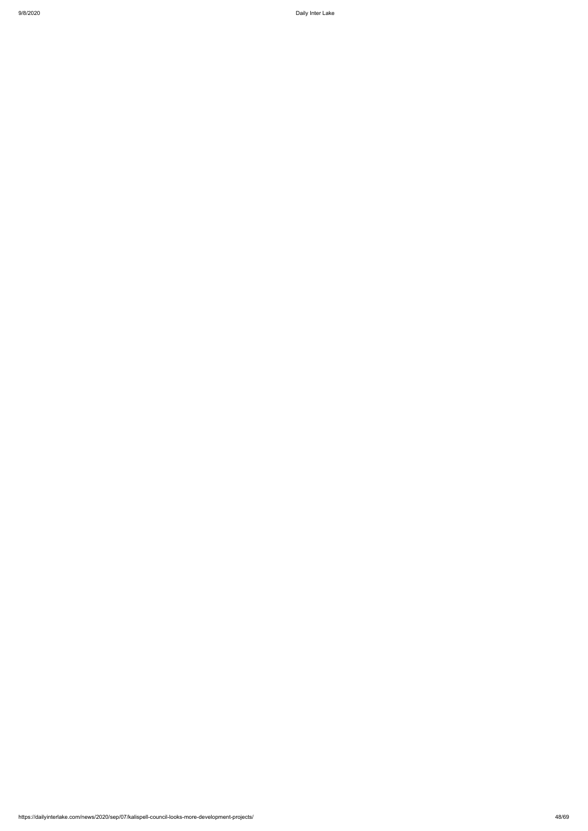https://dailyinterlake.com/news/2020/sep/07/kalispell-council-looks-more-development-projects/ 48/69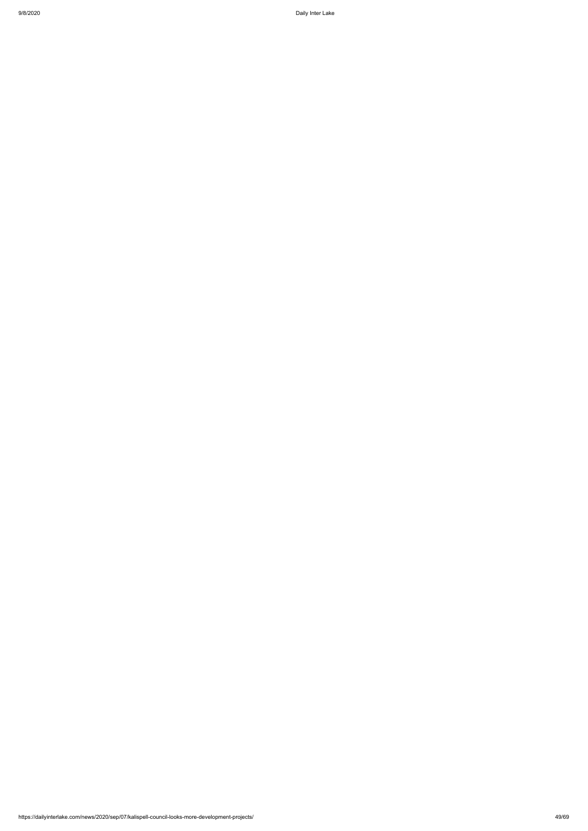https://dailyinterlake.com/news/2020/sep/07/kalispell-council-looks-more-development-projects/ 49/69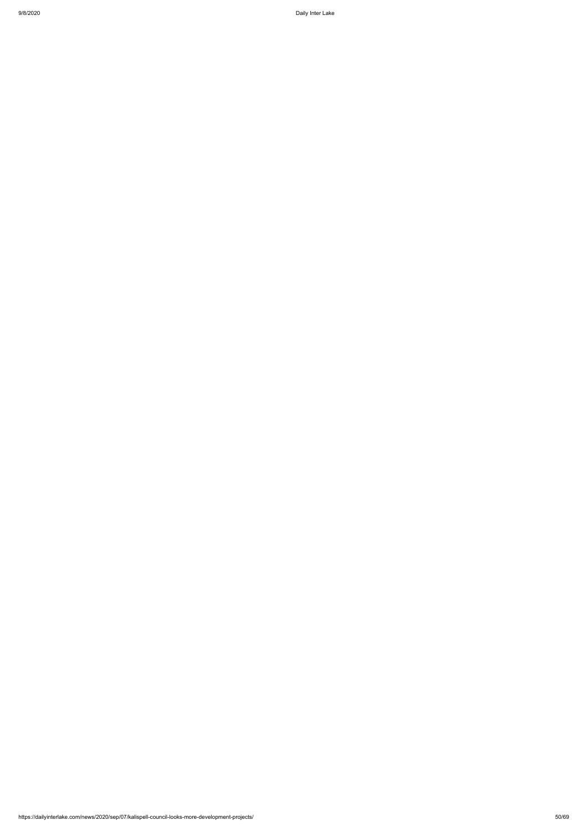https://dailyinterlake.com/news/2020/sep/07/kalispell-council-looks-more-development-projects/ 50/69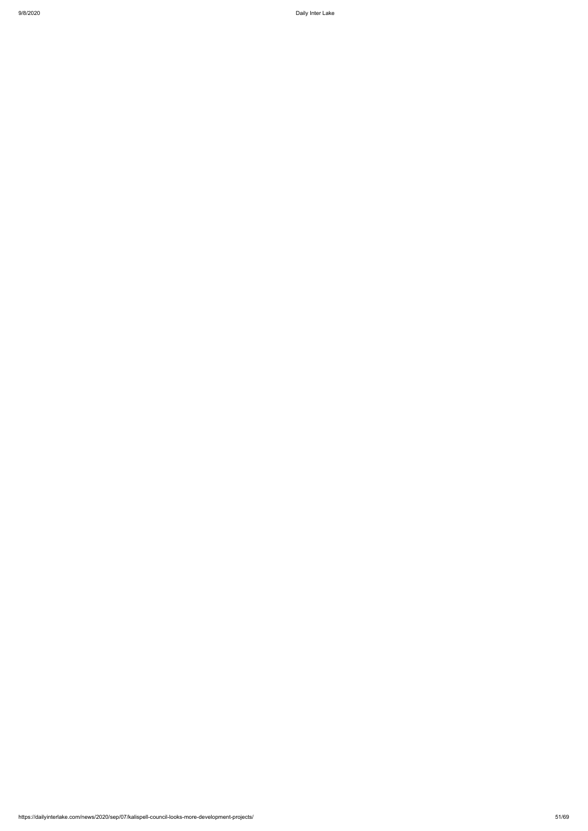https://dailyinterlake.com/news/2020/sep/07/kalispell-council-looks-more-development-projects/ 51/69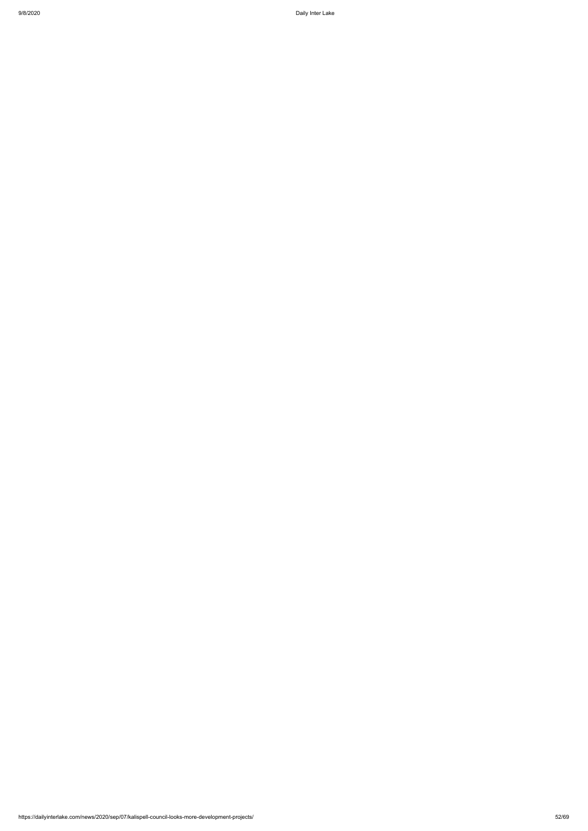https://dailyinterlake.com/news/2020/sep/07/kalispell-council-looks-more-development-projects/ 52/69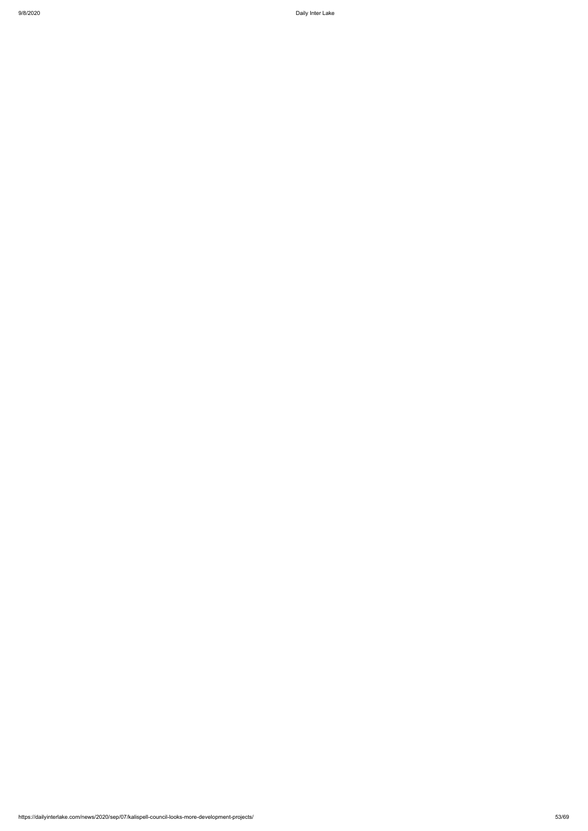https://dailyinterlake.com/news/2020/sep/07/kalispell-council-looks-more-development-projects/ 53/69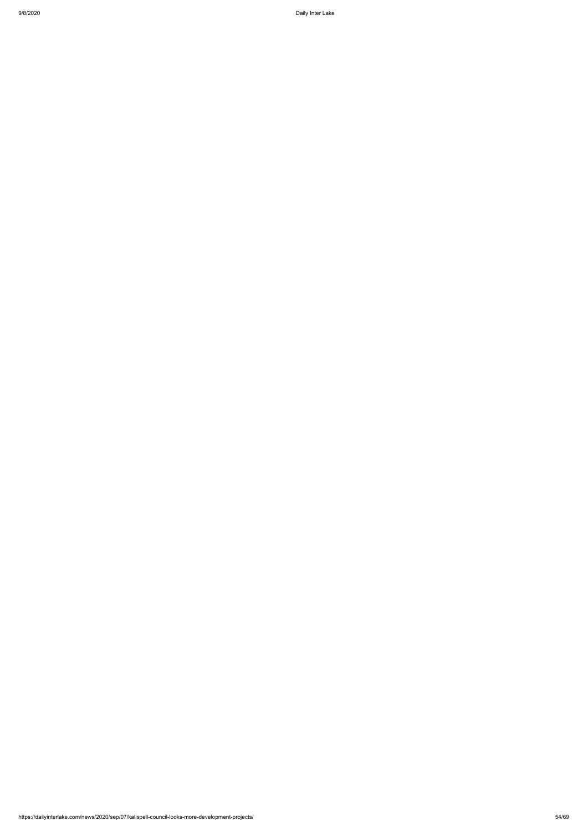https://dailyinterlake.com/news/2020/sep/07/kalispell-council-looks-more-development-projects/ 54/69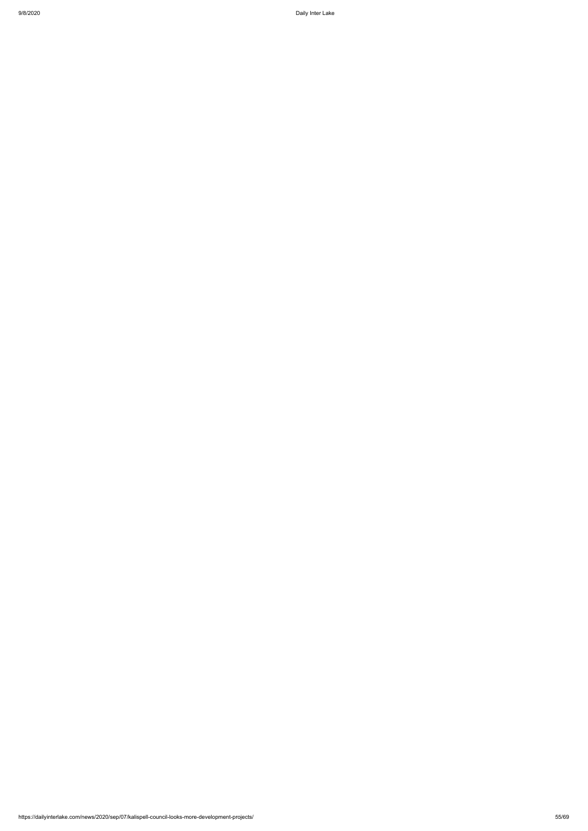https://dailyinterlake.com/news/2020/sep/07/kalispell-council-looks-more-development-projects/ 55/69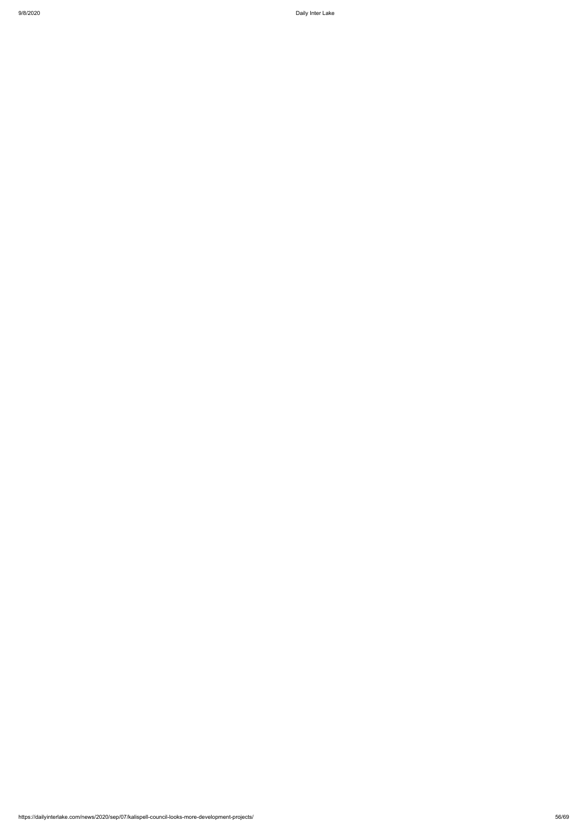https://dailyinterlake.com/news/2020/sep/07/kalispell-council-looks-more-development-projects/ 56/69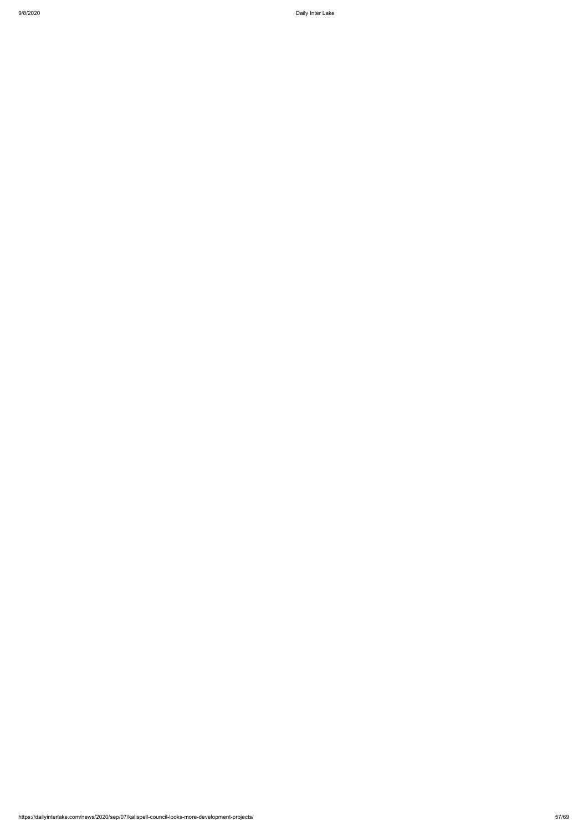https://dailyinterlake.com/news/2020/sep/07/kalispell-council-looks-more-development-projects/ 57/69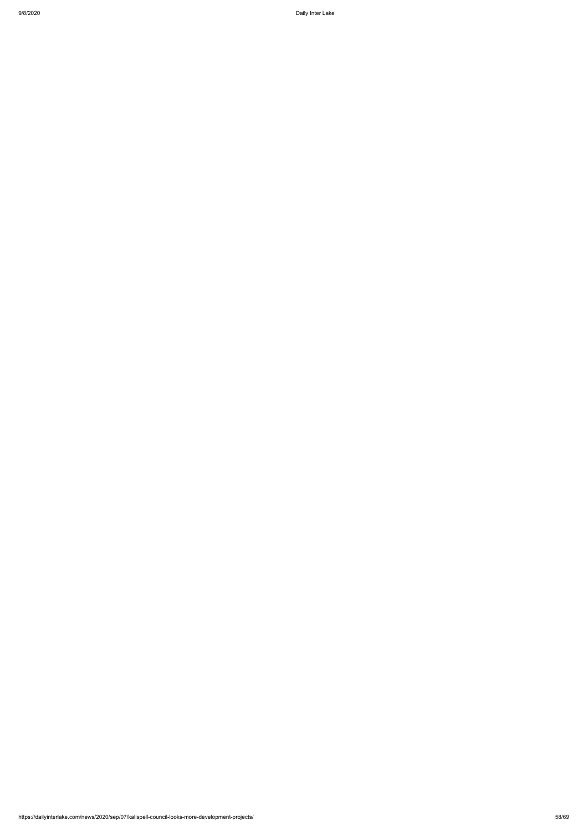https://dailyinterlake.com/news/2020/sep/07/kalispell-council-looks-more-development-projects/ 58/69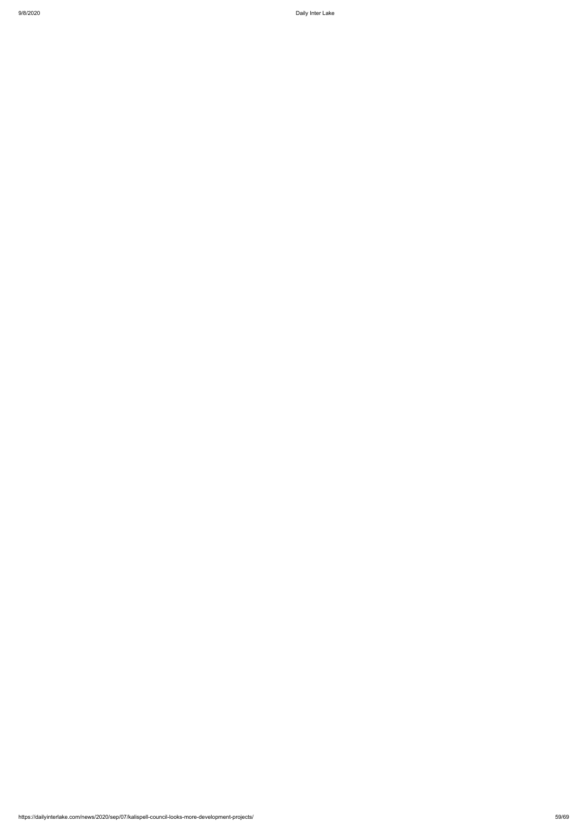https://dailyinterlake.com/news/2020/sep/07/kalispell-council-looks-more-development-projects/ 59/69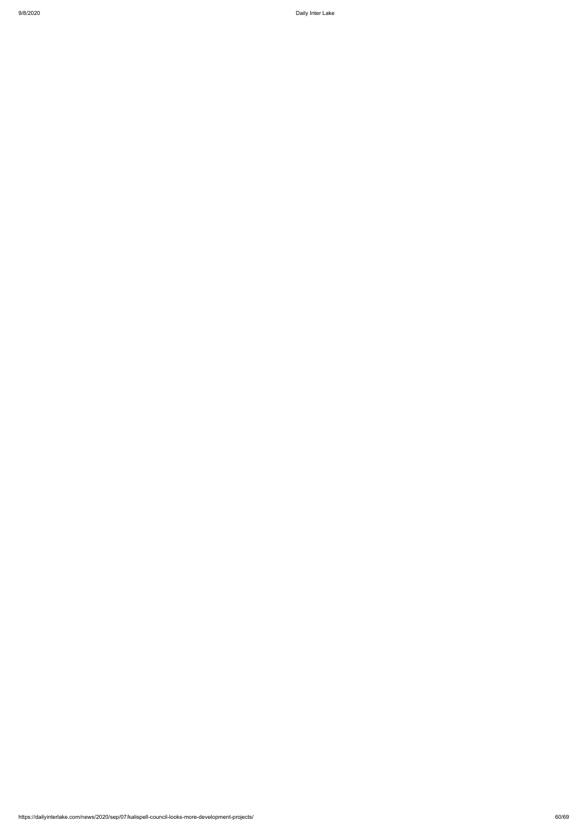https://dailyinterlake.com/news/2020/sep/07/kalispell-council-looks-more-development-projects/ 60/69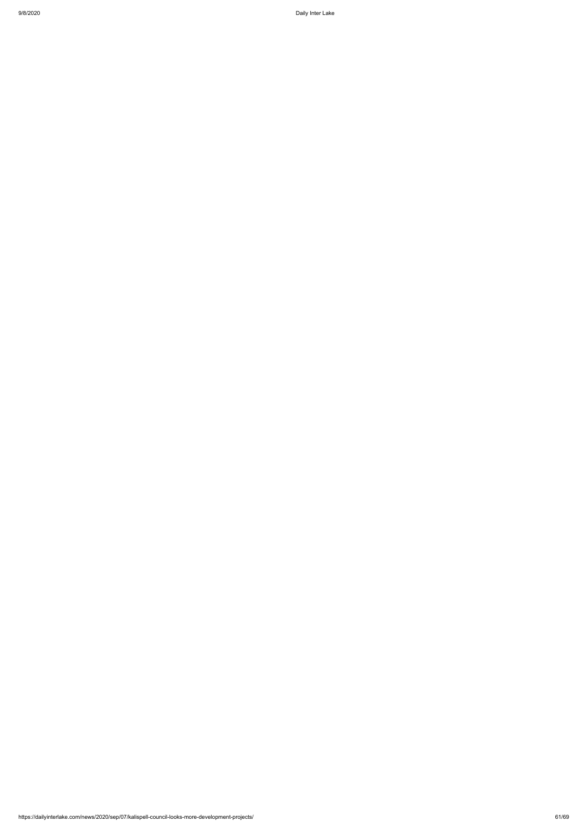https://dailyinterlake.com/news/2020/sep/07/kalispell-council-looks-more-development-projects/ 61/69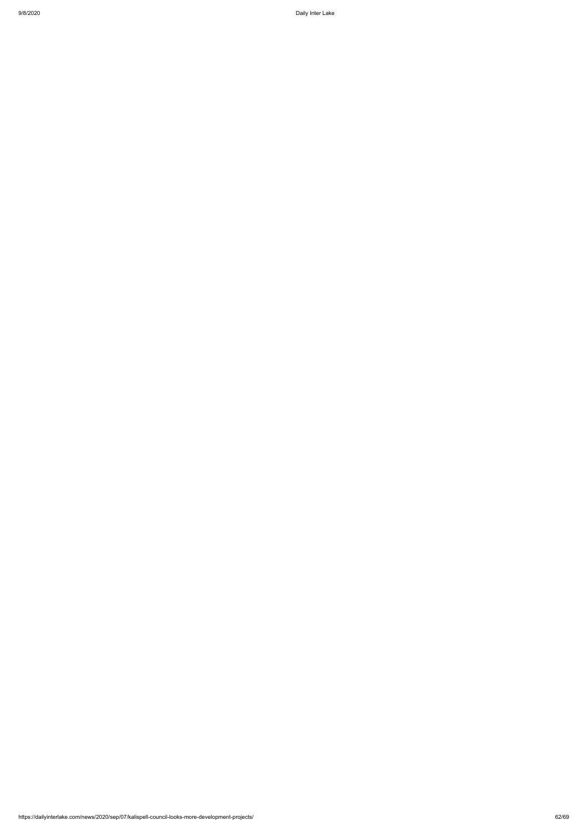https://dailyinterlake.com/news/2020/sep/07/kalispell-council-looks-more-development-projects/ 62/69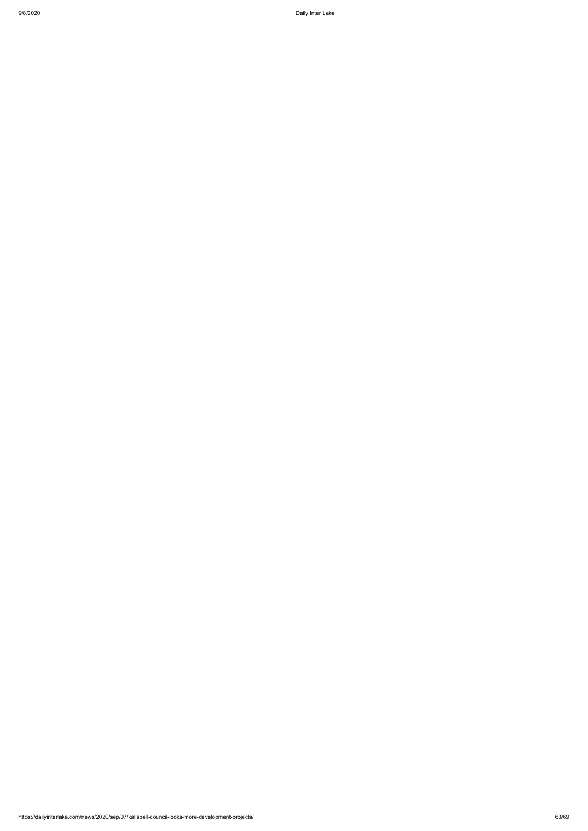https://dailyinterlake.com/news/2020/sep/07/kalispell-council-looks-more-development-projects/ 63/69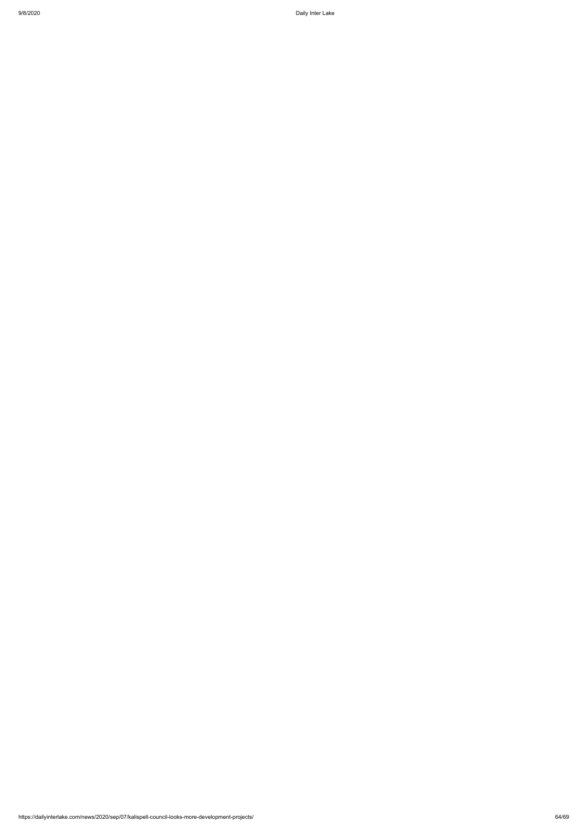https://dailyinterlake.com/news/2020/sep/07/kalispell-council-looks-more-development-projects/ 64/69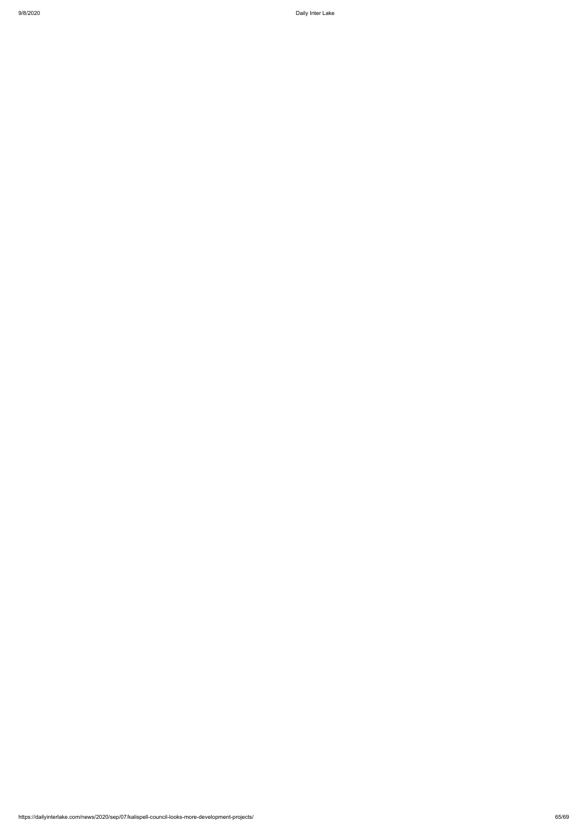https://dailyinterlake.com/news/2020/sep/07/kalispell-council-looks-more-development-projects/ 65/69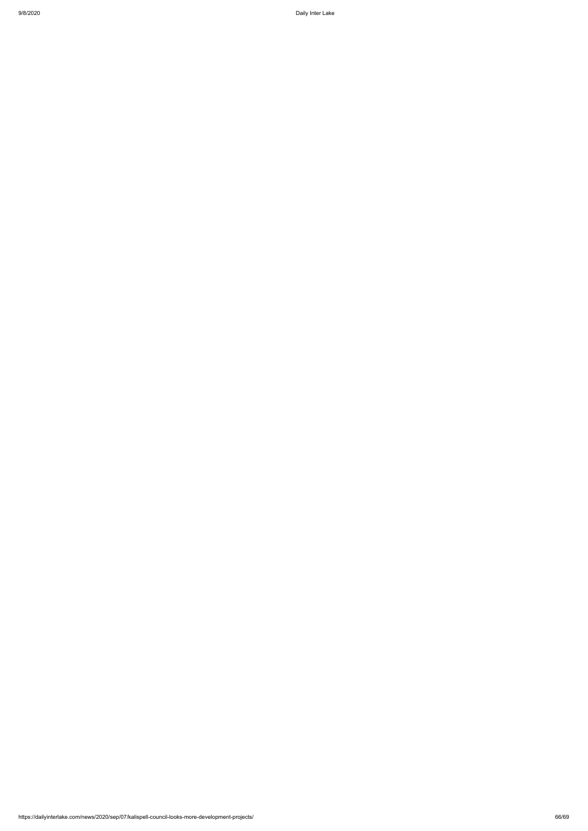https://dailyinterlake.com/news/2020/sep/07/kalispell-council-looks-more-development-projects/ 66/69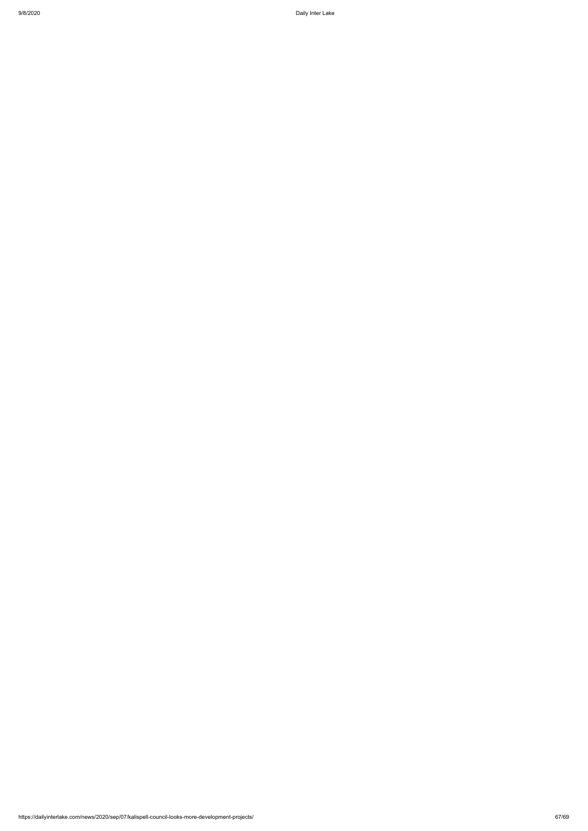https://dailyinterlake.com/news/2020/sep/07/kalispell-council-looks-more-development-projects/ 67/69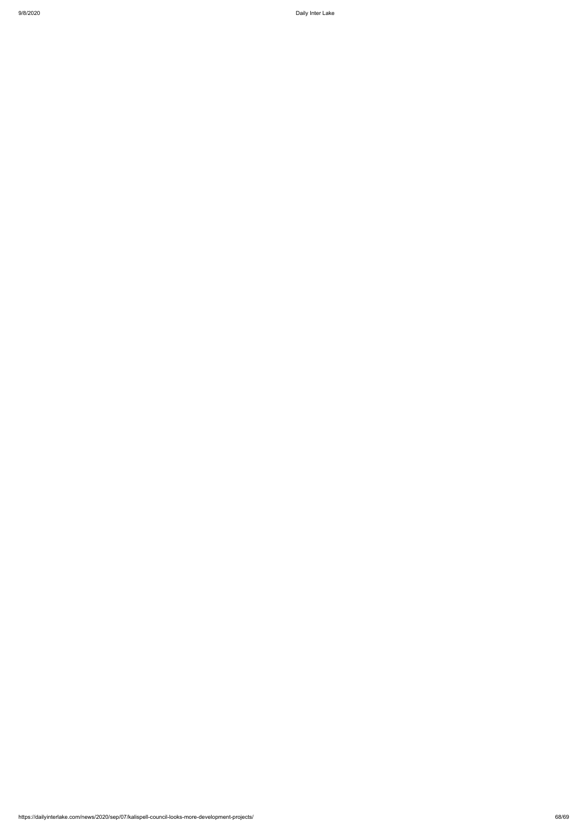https://dailyinterlake.com/news/2020/sep/07/kalispell-council-looks-more-development-projects/ 68/69